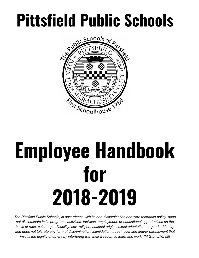# **Pittsfield Public Schools**



# **Employee Handbook for 2018-2019**

*The Pittsfield Public Schools, in accordance with its non-discrimination and zero tolerance policy, does not discriminate in its programs, activities, facilities, employment, or educational opportunities on the basis of race, color, age, disability, sex, religion, national origin, sexual orientation, or gender identity and does not tolerate any form of discrimination, intimidation, threat, coercion and/or harassment that insults the dignity of others by interfering with their freedom to learn and work. [M.G.L. c.76, s5]*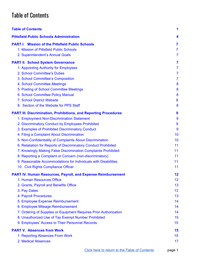# <span id="page-1-0"></span>Table of Contents

| <b>Table of Contents</b>                                                | 1                |
|-------------------------------------------------------------------------|------------------|
| <b>Pittsfield Public Schools Administration</b>                         | 4                |
| <b>PART I. Mission of the Pittsfield Public Schools</b>                 | 7                |
| 1. Mission of Pittsfield Public Schools                                 | 7                |
| 2. Superintendent's Annual Goals                                        | 7                |
| <b>PART II. School System Governance</b>                                | 7                |
| 1. Appointing Authority for Employees                                   | $\overline{7}$   |
| 2. School Committee's Duties                                            | 7                |
| 3. School Committee's Composition                                       | $\overline{7}$   |
| 4. School Committee Meetings                                            | 8                |
| 5. Posting of School Committee Meetings                                 | 8                |
| 6. School Committee Policy Manual                                       | 8                |
| <b>7. School District Website</b>                                       | 8                |
| 8. Section of the Website for PPS Staff                                 | 8                |
| <b>PART III. Discrimination, Prohibitions, and Reporting Procedures</b> | $\boldsymbol{9}$ |
| 1. Employment Non-Discrimination Statement                              | 9                |
| 2. Discriminatory Conduct by Employees Prohibited                       | 9                |
| 3. Examples of Prohibited Discriminatory Conduct                        | 9                |
| 4. Filing a Complaint About Discrimination                              | 10               |
| 5. Non-Confidentiality of Complaints About Discrimination               | 10               |
| 6. Retaliation for Reports of Discriminatory Conduct Prohibited         | 11               |
| 7. Knowingly Making False Discrimination Complaints Prohibited          | 11               |
| 8. Reporting a Complaint or Concern (non-discriminatory)                | 11               |
| 9. Reasonable Accommodations for Individuals with Disabilities          | 11               |
| 10. Civil Rights Compliance Officer                                     | 11               |
| <b>PART IV. Human Resources, Payroll, and Expense Reimbursement</b>     | 12               |
| 1. Human Resources Office                                               | 12               |
| 2. Grants, Payroll and Benefits Office                                  | 13               |
| 3. Pay Dates                                                            | 13               |
| 4. Payroll Procedures                                                   | 13               |
| 5. Employee Expense Reimbursement                                       | 14               |
| 6. Employee Mileage Reimbursement                                       | 14               |
| 7. Ordering of Supplies or Equipment Requires Prior Authorization       | 14               |
| 8. Unauthorized Use of Tax Exempt Number Prohibited                     | 15               |
| 9. Employees' Access to Their Personnel Records                         | 15               |
| <b>PART V. Absences from Work</b>                                       | 15               |
| 1. Reporting Absences From Work                                         | 15               |
| 2. Medical Absences                                                     | 17               |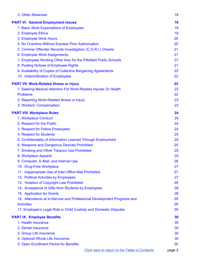| 3. Other Absences                                                      | 18     |
|------------------------------------------------------------------------|--------|
| <b>PART VI. General Employment Issues</b>                              | 19     |
| 1. Basic Work Expectations of Employees                                | 19     |
| 2. Employee Ethics                                                     | 19     |
| 3. Employee Work Hours                                                 | 20     |
| 4. No Overtime Without Express Prior Authorization                     | 20     |
| 5. Criminal Offender Records Investigation (C.O.R.I.) Checks           | 21     |
| 6. Employee Work Assignments                                           | 21     |
| 7. Employees Working Other than for the Pittsfield Public Schools      | 21     |
| 8. Posting Notices of Employee Rights                                  | 21     |
| 9. Availability of Copies of Collective Bargaining Agreements          | 22     |
| 10. Indemnification of Employees                                       | 22     |
| <b>PART VII. Work-Related Illness or Injury</b>                        | 22     |
| 1. Seeking Medical Attention For Work-Related Injuries Or Health       | 22     |
| <b>Problems</b>                                                        | 22     |
| 2. Reporting Work-Related Illness or Injury                            | 23     |
| 3. Workers' Compensation                                               | 23     |
| <b>PART VIII. Workplace Rules</b>                                      | 24     |
| 1. Workplace Conduct                                                   | 24     |
| 2. Respect for the Public                                              | 24     |
| 3. Respect for Fellow Employees                                        | 24     |
| 4. Respect for Students                                                | 24     |
| 5. Confidentiality of Information Learned Through Employment           | 25     |
| 6. Weapons and Dangerous Devices Prohibited                            | 25     |
| 7. Smoking and Other Tobacco Use Prohibited                            | 25     |
| 8. Workplace Apparel                                                   | 25     |
| 9. Computer, E-Mail, and Internet Use                                  | 26     |
| 10. Drug-Free Workplace                                                | 27     |
| 11. Inappropriate Use of Inter-Office Mail Prohibited                  | 27     |
| 12. Political Activities by Employees                                  | 27     |
| 13. Violation of Copyright Law Prohibited                              | 28     |
| 14. Acceptance of Gifts from Students by Employees                     | 28     |
| 15. Application for Grants                                             | 28     |
| 16. Attendance at In-Service and Professional Development Programs and | 29     |
| <b>Activities</b>                                                      | 29     |
| 17. Employee's Legal Role in Child Custody and Domestic Disputes       | 29     |
| <b>PART IX. Employee Benefits</b>                                      | 30     |
| 1. Health Insurance                                                    | 30     |
| 2. Dental Insurance                                                    | 30     |
| 3. Group Life Insurance                                                | 30     |
| 4. Optional Whole Life Insurance                                       | 30     |
| 5. Open Enrollment Period for Benefits                                 | 30     |
| Click here to return to the Table of Contents                          | page 2 |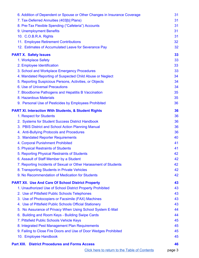| 6. Addition of Dependent or Spouse or Other Changes in Insurance Coverage | 31     |
|---------------------------------------------------------------------------|--------|
| 7. Tax-Deferred Annuities (403[b] Plans)                                  | 31     |
| 8. Pre-Tax Flexible Spending ("Cafeteria") Accounts                       | 31     |
| 9. Unemployment Benefits                                                  | 31     |
| 10. C.O.B.R.A. Rights                                                     | 31     |
| 11. Employee Retirement Contributions                                     | 32     |
| 12. Estimates of Accumulated Leave for Severance Pay                      | 32     |
| <b>PART X. Safety Issues</b>                                              | 33     |
| 1. Workplace Safety                                                       | 33     |
| 2. Employee Identification                                                | 33     |
| 3. School and Workplace Emergency Procedures                              | 33     |
| 4. Mandated Reporting of Suspected Child Abuse or Neglect                 | 34     |
| 5. Reporting Suspicious Persons, Activities, or Objects                   | 34     |
| <b>6. Use of Universal Precautions</b>                                    | 34     |
| 7. Bloodborne Pathogens and Hepatitis B Vaccination                       | 35     |
| 8. Hazardous Materials                                                    | 35     |
| 9. Personal Use of Pesticides by Employees Prohibited                     | 36     |
| <b>PART XI. Interaction With Students, &amp; Student Rights</b>           | 36     |
| 1. Respect for Students                                                   | 36     |
| 2. Systems for Student Success District Handbook                          | 36     |
| 3. PBIS District and School Action Planning Manual                        | 36     |
| 4. Anti-Bullying Protocols and Procedures                                 | 36     |
| 3. Mandated Reporter Requirements                                         | 40     |
| 4. Corporal Punishment Prohibited                                         | 41     |
| 5. Physical Restraints of Students                                        | 41     |
| 5. Reporting Physical Restraints of Students                              | 42     |
| 6. Assault of Staff Member by a Student                                   | 42     |
| 7. Reporting Incidents of Sexual or Other Harassment of Students          | 42     |
| 8. Transporting Students in Private Vehicles                              | 42     |
| 9. No Recommendation of Medication for Students                           | 42     |
| <b>PART XII. Use And Care Of School District Property</b>                 | 43     |
| 1. Unauthorized Use of School District Property Prohibited                | 43     |
| 2. Use of Pittsfield Public Schools Telephones                            | 43     |
| 3. Use of Photocopiers or Facsimile (FAX) Machines                        | 43     |
| 4. Use of Pittsfield Public Schools Official Stationery                   | 43     |
| 5. No Assurance of Privacy When Using School System E-Mail                | 44     |
| <b>Building and Room Keys - Building Swipe Cards</b><br>6.                | 44     |
| 7. Pittsfield Public Schools Vehicle Keys                                 | 45     |
| 8. Integrated Pest Management Plan Requirements                           | 45     |
| 9. Failing to Close Fire Doors and Use of Door Wedges Prohibited          | 45     |
| 10. Employee Handbook                                                     | 45     |
| <b>District Procedures and Forms Access</b><br>Part XIII.                 | 46     |
| <b>Click here to return to the Table of Contents</b>                      | page 3 |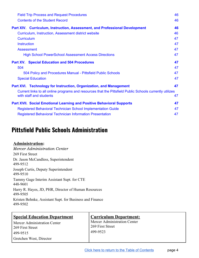| <b>Field Trip Process and Request Procedures</b>                                                                                    | 46 |
|-------------------------------------------------------------------------------------------------------------------------------------|----|
| <b>Contents of the Student Record</b>                                                                                               | 46 |
| Part XIV. Curriculum, Instruction, Assessment, and Professional Development                                                         | 46 |
| Curriculum, Instruction, Assessment district website                                                                                | 46 |
| <b>Curriculum</b>                                                                                                                   | 47 |
| <b>Instruction</b>                                                                                                                  | 47 |
| <b>Assessment</b>                                                                                                                   | 47 |
| <b>High School PowerSchool Assessment Access Directions</b>                                                                         | 47 |
| <b>Part XV. Special Education and 504 Procedures</b>                                                                                | 47 |
| 504                                                                                                                                 | 47 |
| 504 Policy and Procedures Manual - Pittsfield Public Schools                                                                        | 47 |
| <b>Special Education</b>                                                                                                            | 47 |
| Part XVI. Technology for Instruction, Organization, and Management                                                                  | 47 |
| Current links to all online programs and resources that the Pittsfield Public Schools currently utilizes<br>with staff and students | 47 |
| <b>Part XVII. Social Emotional Learning and Positive Behavioral Supports</b>                                                        | 47 |
| Registered Behavioral Technician School Implementation Guide                                                                        | 47 |
| <b>Registered Behavioral Technician Information Presentation</b>                                                                    | 47 |

# <span id="page-4-0"></span>**Pittsfield Public Schools Administration**

# **Administration:**

Mercer Administration Center 269 First Street Dr. Jason McCandless, Superintendent 499-9512 Joseph Curtis, Deputy Superintendent 499-9510 Tammy Gage Interim Assistant Supt. for CTE 448-9601 Harry R. Hayes, JD, PHR, Director of Human Resources 499-9505 Kristen Behnke, Assistant Supt. for Business and Finance 499-9502

# **Special Education Department**

Mercer Administration Center 269 First Street 499-9515 Gretchen West, Director

# **Curriculum Department:**

Mercer Administration Center 269 First Street 499-9523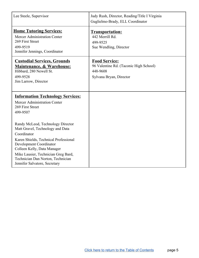| Lee Steele, Supervisor                                                                                                                                                                                                                                                                               | Judy Rush, Director, Reading/Title I Virginia<br>Guglielmo-Brady, ELL Coordinator                     |
|------------------------------------------------------------------------------------------------------------------------------------------------------------------------------------------------------------------------------------------------------------------------------------------------------|-------------------------------------------------------------------------------------------------------|
| <b>Home Tutoring Services:</b><br>Mercer Administration Center<br>269 First Street<br>499-9519<br>Jennifer Jennings, Coordinator                                                                                                                                                                     | <b>Transportation:</b><br>442 Merrill Rd.<br>499-9525<br>Sue Wendling, Director                       |
| <b>Custodial Services, Grounds</b><br><b>Maintenance, &amp; Warehouse:</b><br>Hibbard, 280 Newell St.<br>499-9528<br>Jim Larrow, Director                                                                                                                                                            | <b>Food Service:</b><br>96 Valentine Rd. (Taconic High School)<br>448-9608<br>Sylvana Bryan, Director |
| <b>Information Technology Services:</b><br><b>Mercer Administration Center</b><br>269 First Street<br>499-9507                                                                                                                                                                                       |                                                                                                       |
| Randy McLeod, Technology Director<br>Matt Gravel, Technology and Data<br>Coordinator<br>Karen Shields, Technical Professional<br>Development Coordinator<br>Colleen Kelly, Data Manager<br>Mike Lausier, Technician Greg Bard,<br>Technician Dan Norton, Technician<br>Jennifer Salvatore, Secretary |                                                                                                       |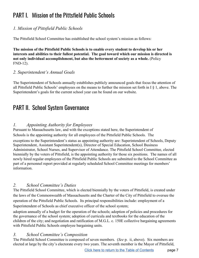# <span id="page-7-0"></span>PART I. Mission of the Pittsfield Public Schools

# <span id="page-7-1"></span>*1. Mission of Pittsfield Public Schools*

The Pittsfield School Committee has established the school system's mission as follows:

**The mission of the Pittsfield Public Schools is to enable every student to develop his or her interests and abilities to their fullest potential. The goal toward which our mission is directed is not only individual accomplishment, but also the betterment of society as a whole.** (Policy FND-12).

# <span id="page-7-2"></span>*2. Superintendent's Annual Goals*

The Superintendent of Schools annually establishes publicly announced goals that focus the attention of all Pittsfield Public Schools' employees on the means to further the mission set forth in I § 1, above. The Superintendent's goals for the current school year can be found on our website.

# <span id="page-7-3"></span>PART II. School System Governance

# <span id="page-7-4"></span>*1. Appointing Authority for Employees*

Pursuant to Massachusetts law, and with the exceptions stated here, the Superintendent of Schools is the appointing authority for all employees of the Pittsfield Public Schools. The exceptions to the Superintendent's status as appointing authority are: Superintendent of Schools, Deputy Superintendent, Assistant Superintendent(s), Director of Special Education, School Business Administrator, School Nurses, and Supervisor of Attendance. The Pittsfield School Committee, elected biennially by the voters of Pittsfield, is the appointing authority for those six positions. The names of all newly hired regular employees of the Pittsfield Public Schools are submitted to the School Committee as part of a personnel report provided at regularly scheduled School Committee meetings for members' information.

# <span id="page-7-5"></span>*2. School Committee's Duties*

The Pittsfield School Committee, which is elected biennially by the voters of Pittsfield, is created under the laws of the Commonwealth of Massachusetts and the Charter of the City of Pittsfield to oversee the operation of the Pittsfield Public Schools. Its principal responsibilities include: employment of a Superintendent of Schools as chief executive officer of the school system;

adoption annually of a budget for the operation of the schools; adoption of policies and procedures for the governance of the school system; adoption of curricula and textbooks for the education of the children of the city; and negotiation and ratification of M.G.L. c. 150E collective bargaining agreements with Pittsfield Public Schools employee bargaining units.

# <span id="page-7-6"></span>*3. School Committee's Composition*

The Pittsfield School Committee is composed of seven members. (*See* p. ii, above). Six members are elected at large by the city's electorate every two years. The seventh member is the Mayor of Pittsfield,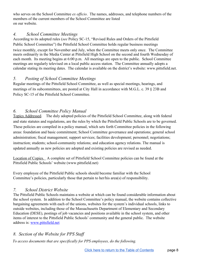who serves on the School Committee *ex officio*. The names, addresses, and telephone numbers of the members of the current members of the School Committee are listed on our website.

# <span id="page-8-0"></span>*4. School Committee Meetings*

According to its adopted rules (*see* Policy SC-15, "Revised Rules and Orders of the Pittsfield Public School Committee") the Pittsfield School Committee holds regular business meetings twice monthly, except for November and July, when the Committee meets only once. The Committee meets ordinarily in the Media Center at Pittsfield High School on the second and fourth Wednesday of each month. Its meeting begins at 6:00 p.m. All meetings are open to the public. School Committee meetings are regularly televised on a local public access station. The Committee annually adopts a calendar stating its meeting dates. The calendar is available on the district's website: [www.pittsfield.net.](http://www.pittsfield.net/)

# <span id="page-8-1"></span>*5. Posting of School Committee Meetings*

Regular meetings of the Pittsfield School Committee, as well as special meetings, hearings, and meetings of its subcommittees, are posted at City Hall in accordance with M.G.L. c. 39 § 23B and Policy SC-15 of the Pittsfield School Committee.

# <span id="page-8-2"></span>*6. School Committee Policy Manual*

Topics Addressed. The duly adopted policies of the Pittsfield School Committee, along with federal and state statutes and regulations, are the rules by which the Pittsfield Public Schools are to be governed. These policies are compiled in a policy manual, which sets forth Committee policies in the following areas: foundation and basic commitment; School Committee governance and operations; general school administration; fiscal management; support services; facilities development; personnel; negotiations; instruction; students; school-community relations; and education agency relations. The manual is updated annually as new policies are adopted and existing policies are revised as needed.

Location of Copies. A complete set of Pittsfield School Committee policies can be found at the Pittsfield Public Schools' website (www.pittsfield.net)

Every employee of the Pittsfield Public schools should become familiar with the School Committee's policies, particularly those that pertain to her/his area(s) of responsibility.

# <span id="page-8-3"></span>*7. School District Website*

The Pittsfield Public Schools maintains a website at which can be found considerable information about the school system. In addition to the School Committee's policy manual, the website contains collective bargaining agreements with each of the unions, websites for the system's individual schools, links to outside websites, including those of the Massachusetts Department of Elementary and Secondary Education (DESE), postings of job vacancies and positions available in the school system, and other items of interest to the Pittsfield Public Schools' community and the general public. The website address is: [www.pittsfield.net](http://www.pittsfield.net/)

# <span id="page-8-4"></span>*8. Section of the Website for PPS Staf*

*To access documents that are specifically for PPS employees, do the following.*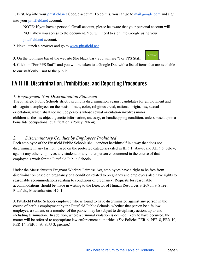1. First, log into your pittsfield net Google account. To do this, you can go to mail google.com and sign into you[r](http://pittsfield.net/) [pittsfield.net](http://pittsfield.net/) account.

NOTE: If you have a personal Gmail account, please be aware that your personal account will NOT allow you access to the document. You will need to sign into Google using you[r](http://pittsfield.net/) [pittsfield.net](http://pittsfield.net/) account.

2. Next, launch a browser and go to [www.pittsfield.net](http://www.pittsfield.net/)

3. On the top menu bar of the website (the black bar), you will see "For PPS Staff," .

4. Click on "For PPS Staff" and you will be taken to a Google Doc with a list of items that are available to our staff only—not to the public.

# <span id="page-9-0"></span>PART III. Discrimination, Prohibitions, and Reporting Procedures

# <span id="page-9-1"></span>*1. Employment Non-Discrimination Statement*

The Pittsfield Public Schools strictly prohibits discrimination against candidates for employment and also against employees on the basis of race, color, religious creed, national origin, sex, sexual orientation, which shall not include persons whose sexual orientation involves minor children as the sex object, genetic information, ancestry, or handicapping condition, unless based upon a bona fide occupational qualification. (Policy PER-4).

# <span id="page-9-2"></span>*2. Discriminatory Conduct by Employees Prohibited*

Each employee of the Pittsfield Public Schools shall conduct her/himself in a way that does not discriminate in any fashion, based on the protected categories cited in III § 1, above, and XII § 6, below, against any other employee, any student, or any other person encountered in the course of that employee's work for the Pittsfield Public Schools.

Under the Massachusetts Pregnant Workers Fairness Act, employees have a right to be free from discrimination based on pregnancy or a condition related to pregnancy and employees also have rights to reasonable accommodations relating to conditions of pregnancy. Requests for reasonable accommodations should be made in writing to the Director of Human Resources at 269 First Street, Pittsfield, Massachusetts 01201.

A Pittsfield Public Schools employee who is found to have discriminated against any person in the course of her/his employment by the Pittsfield Public Schools, whether that person be a fellow employee, a student, or a member of the public, may be subject to disciplinary action, up to and including termination. In addition, where a criminal violation is deemed likely to have occurred, the matter will be referred to appropriate law enforcement authorities. (*See* Policies PER-6, PER-8, PER-10, PER-14, PER-14A, STU-3, *passim*.)

For PPS Staff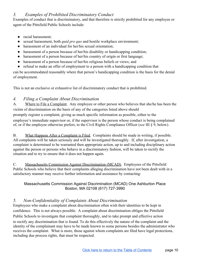# <span id="page-10-0"></span>*3. Examples of Prohibited Discriminatory Conduct*

Examples of conduct that is discriminatory, and that therefore is strictly prohibited for any employee or agent of the Pittsfield Public Schools include:

- racial harassment:
- sexual harassment, both *quid pro quo* and hostile workplace environment;
- harassment of an individual for her/his sexual orientation;
- harassment of a person because of her/his disability or handicapping condition;
- harassment of a person because of her/his country of origin or first language;
- harassment of a person because of her/his religious beliefs or views; and
- refusal to make an offer of employment to a person with a handicapping condition that

can be accommodated reasonably where that person's handicapping condition is the basis for the denial of employment.

This is not an exclusive or exhaustive list of discriminatory conduct that is prohibited.

# <span id="page-10-1"></span>*4. Filing a Complaint About Discrimination*

A. Where to File a Complaint. Any employee or other person who believes that she/he has been the victim of discrimination on the basis of any of the categories listed above should promptly register a complaint, giving as much specific information as possible, either to the employee's immediate supervisor or, if the supervisor is the person whose conduct is being complained of, or if the employee otherwise prefers, to the Civil Rights Compliance Officer (*see* III § 9, below).

B. What Happens After a Complaint is Filed. Complaints should be made in writing, if possible. All complaints will be taken seriously and will be investigated thoroughly. If, after investigation, a complaint is determined to be warranted then appropriate action, up to and including disciplinary action against the person or persons who behave in a discriminatory fashion, will be taken to rectify the situation and to try to ensure that it does not happen again.

C. Massachusetts Commission Against Discrimination (MCAD). Employees of the Pittsfield Public Schools who believe that their complaints alleging discrimination have not been dealt with in a satisfactory manner may receive further information and assistance by contacting:

# Massachusetts Commission Against Discrimination (MCAD) One Ashburton Place Boston, MA 02108 (617) 727-3990

# <span id="page-10-2"></span>*5. Non-Confidentiality of Complaints About Discrimination*

Employees who make a complaint about discrimination often wish their identities to be kept in confidence. This is not always possible. A complaint about discrimination obliges the Pittsfield Public Schools to investigate that complaint thoroughly, and to take prompt and effective action to rectify any discrimination that is found. To do this effectively the nature of the complaint and the identity of the complainant may have to be made known to some persons besides the administrator who receives the complaint. What is more, those against whom complaints are filed have legal protections, including due process rights, that must be respected.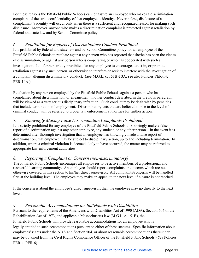For these reasons the Pittsfield Public Schools cannot assure an employee who makes a discrimination complaint of the strict confidentiality of that employee's identity. Nevertheless, disclosure of a complainant's identity will occur only when there is a sufficient and recognized reason for making such disclosure. Moreover, anyone who makes a discrimination complaint is protected against retaliation by federal and state law and by School Committee policy.

# <span id="page-11-0"></span>*6. Retaliation for Reports of Discriminatory Conduct Prohibited*

It is prohibited by federal and state law and by School Committee policy for an employee of the Pittsfield Public Schools to retaliate against any person who has reported that she/he has been the victim of discrimination, or against any person who is cooperating or who has cooperated with such an investigation. It is further strictly prohibited for any employee to encourage, assist in, or promote retaliation against any such person, or otherwise to interfere or seek to interfere with the investigation of a complaint alleging discriminatory conduct. (*See* M.G.L. c. 151B § 3A; see also Policies PER-14, PER-14A.)

Retaliation by any person employed by the Pittsfield Public Schools against a person who has complained about discrimination, or engagement in other conduct described in the previous paragraph, will be viewed as a very serious disciplinary infraction. Such conduct may be dealt with by penalties that include termination of employment. Discriminatory acts that are believed to rise to the level of criminal conduct will be referred to proper law enforcement authorities for further action.

# <span id="page-11-1"></span>*7. Knowingly Making False Discrimination Complaints Prohibited*

It is strictly prohibited for any employee of the Pittsfield Public Schools to knowingly make a false report of discrimination against any other employee, any student, or any other person. In the event it is determined after thorough investigation that an employee has knowingly made a false report of discrimination, that employee may be subject to disciplinary action, up to and including termination. In addition, where a criminal violation is deemed likely to have occurred, the matter may be referred to appropriate law enforcement authorities.

# <span id="page-11-2"></span>*8. Reporting a Complaint or Concern (non-discriminatory)*

The Pittsfield Public Schools encourages all employees to be active members of a professional and respectful learning community. An employee should report complaints or concerns which are not otherwise covered in this section to his/her direct supervisor. All complaints/concerns will be handled first at the building level. The employee may make an appeal to the next level if closure is not reached.

If the concern is about the employee's direct supervisor, then the employee may go directly to the next level.

# <span id="page-11-3"></span>*9. Reasonable Accommodations for Individuals with Disabilities*

Pursuant to the requirements of the Americans with Disabilities Act of 1990 (ADA), Section 504 of the Rehabilitation Act of 1973, and applicable Massachusetts law (M.G.L. c. 151B), the Pittsfield Public Schools will provide reasonable accommodations for an employee who is legally entitled to such accommodations pursuant to either of these statutes. Specific information about employees' rights under the ADA and Section 504, or about reasonable accommodations thereunder, may be obtained from the Civil Rights Compliance Officer of the Pittsfield Public Schools. (*See* Policies PER-4, PER-6).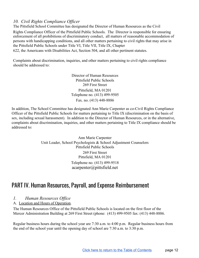# <span id="page-12-0"></span>*10. Civil Rights Compliance Of icer*

The Pittsfield School Committee has designated the Director of Human Resources as the Civil

Rights Compliance Officer of the Pittsfield Public Schools. The Director is responsible for ensuring enforcement of all prohibitions of discriminatory conduct, all matters of reasonable accommodation of persons with handicapping conditions, and all other matters pertaining to civil rights that may arise in the Pittsfield Public Schools under Title VI, Title VII, Title IX, Chapter

622, the Americans with Disabilities Act, Section 504, and all other pertinent statutes.

Complaints about discrimination, inquiries, and other matters pertaining to civil rights compliance should be addressed to:

> Director of Human Resources Pittsfield Public Schools 269 First Street Pittsfield, MA 01201 Telephone no. (413) 499-9505 Fax. no. (413) 448-8886

In addition, The School Committee has designated Ann Marie Carpenter as co-Civil Rights Compliance Officer of the Pittsfield Public Schools for matters pertaining to Title IX (discrimination on the basis of sex, including sexual harassment). In addition to the Director of Human Resources, or in the alternative, complaints about discrimination, inquiries, and other matters pertaining to Title IX compliance should be addressed to:

> Ann Marie Carpenter Unit Leader, School Psychologists & School Adjustment Counselors Pittsfield Public Schools 269 First Street Pittsfield, MA 01201 Telephone no. (413) 499-9518 [acarpenter@pittsfield.net](mailto:acarpenter@pittsfield.net)

# <span id="page-12-1"></span>PART IV. Human Resources, Payroll, and Expense Reimbursement

# <span id="page-12-2"></span>*1. Human Resources Of ice*

A. Location and Hours of Operation.

The Human Resources Office of the Pittsfield Public Schools is located on the first floor of the Mercer Administration Building at 269 First Street (phone: (413) 499-9505 fax: (413) 448-8886.

Regular business hours during the school year are 7:30 a.m. to 4:00 p.m. Regular business hours from the end of the school year until the opening day of school are 7:30 a.m. to 3:30 p.m.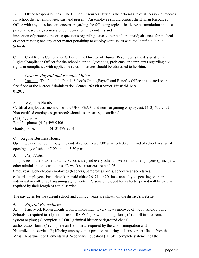B. Office Responsibilities. The Human Resources Office is the official site of all personnel records for school district employees, past and present. An employee should contact the Human Resources Office with any questions or concerns regarding the following topics: sick leave accumulation and use; personal leave use; accuracy of compensation; the contents and

inspection of personnel records; questions regarding leave, either paid or unpaid; absences for medical or other reasons; and any other matter pertaining to employment issues with the Pittsfield Public Schools.

C. Civil Rights Compliance Officer. The Director of Human Resources is the designated Civil Rights Compliance Officer for the school district. Questions, problems, or complaints regarding civil rights or compliance with applicable rules or statutes should be addressed to her/him.

# <span id="page-13-0"></span>*2. Grants, Payroll and Benefits Of ice*

A. Location. The Pittsfield Public Schools Grants,Payroll and Benefits Office are located on the first floor of the Mercer Administration Center 269 First Street, Pittsfield, MA 01201.

# B. Telephone Numbers

Certified employees (members of the UEP, PEAA, and non-bargaining employees): (413) 499-9572 Non-certified employees (paraprofessionals, secretaries, custodians):

(413) 499-9503. Benefits phone: (413) 499-9506 Grants phone: (413) 499-9504

# C. Regular Business Hours:

Opening day of school through the end of school year: 7:00 a.m. to 4:00 p.m. End of school year until opening day of school: 7:00 a.m. to 3:30 p.m.

# <span id="page-13-1"></span>*3. Pay Dates*

Employees of the Pittsfield Public Schools are paid every other . Twelve-month employees (principals, other administrators, custodians, 52-week secretaries) are paid 26

times/year. School-year employees (teachers, paraprofessionals, school year secretaries,

cafeteria employees, bus drivers) are paid either 26, 21, or 20 times annually, depending on their individual or collective bargaining agreements,. Persons employed for a shorter period will be paid as required by their length of actual service.

The pay dates for the current school and contract years are shown on the district's website.

# <span id="page-13-2"></span>*4. Payroll Procedures*

A. Paperwork Requirements Upon Employment. Every new employee of the Pittsfield Public Schools is required to: (1) complete an IRS W-4 (tax withholding) form; (2) enroll in a retirement system or plan; (3) complete a CORI (criminal history background check)

authorization form; (4) complete an I-9 form as required by the U.S. Immigration and

Naturalization service; (5) if being employed in a position requiring a license or certificate from the Mass. Department of Elementary & Secondary Education (DESE): complete statement of the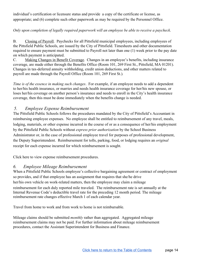individual's certification or licensure status and provide a copy of the certificate or license, as appropriate; and (6) complete such other paperwork as may be required by the Personnel Office.

#### *Only upon completion of legally required paperwork will an employee be able to receive a paycheck*.

B. Closing of Payroll. Paychecks for all Pittsfield municipal employees, including employees of the Pittsfield Public Schools, are issued by the City of Pittsfield. Timesheets and other documentation required to ensure payment must be submitted to Payroll not later than one (1) week prior to the pay date on which payment is anticipated.

C. Making Changes in Benefit Coverage. Changes in an employee's benefits, including insurance coverage, are made either through the Benefits Office (Room 101, 269 First St., Pittsfield, MA 01201). Changes in tax-deferred annuity withholding, credit union deductions, and other matters related to payroll are made through the Payroll Office (Room 101, 269 First St*.*)*.*

*Time is of the essence in making such changes*. For example, if an employee needs to add a dependent to her/his health insurance, or marries and needs health insurance coverage for her/his new spouse, or loses her/his coverage on another person's insurance and needs to enroll in the City's health insurance coverage, then this must be done immediately when the benefits change is needed.

# <span id="page-14-0"></span>*5. Employee Expense Reimbursement*

The Pittsfield Public Schools follows the procedures mandated by the City of Pittsfield's Accountant in reimbursing employee expenses. No employee shall be entitled to reimbursement of any travel, meals, lodging, materials, or other expense incurred in the course of or as a consequence of her/his employment by the Pittsfield Public Schools without *express prior authorization* by the School Business Administrator or, in the case of professional employee travel for purposes of professional development, the Deputy Superintendent. Reimbursement for tolls, parking, food, or lodging requires an *original* receipt for each expense incurred for which reimbursement is sought.

Click here to view expense reimbursement procedures.

# <span id="page-14-1"></span>*6. Employee Mileage Reimbursement*

When a Pittsfield Public Schools employee's collective bargaining agreement or contract of employment so provides, and if that employee has an assignment that requires that she/he drive her/his own vehicle on work-related matters, then the employee may claim a mileage reimbursement for each duly reported mile traveled. The reimbursement rate is set annually at the Internal Revenue Code's deductible travel rate for the preceding 12 month period. The mileage reimbursement rate changes effective March 1 of each calendar year.

Travel from home to work and from work to home is not reimbursable.

Mileage claims should be submitted *monthly* rather than aggregated. Aggregated mileage reimbursement claims may not be paid. For further information about mileage reimbursement procedures, contact the Assistant Superintendent for Business and Finance.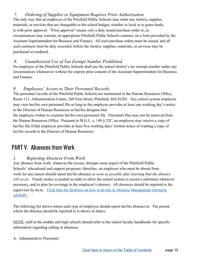<span id="page-15-0"></span>*7. Ordering of Supplies or Equipment Requires Prior Authorization* The only way that an employee of the Pittsfield Public Schools may order any item(s), supplies, materials, or services that are chargeable to the school budget, whether to local or to grant funds, is with prior approval. "Prior approval" means *only* a duly issued purchase order or, as circumstances may warrant, an appropriate Pittsfield Public Schools contract, on a form provided by the Assistant Superintendent for Business and Finance. All such purchase orders must be issued, and all such contracts must be duly executed, before the item(s), supplies, materials, or services may be purchased or rendered.

# <span id="page-15-1"></span>*8. Unauthorized Use of Tax Exempt Number Prohibited*

No employee of the Pittsfield Public Schools shall use the school district's tax exempt number under any circumstances whatsoever without the express prior consent of the Assistant Superintendent for Business and Finance.

# <span id="page-15-2"></span>*9. Employees' Access to Their Personnel Records*

The personnel records of the Pittsfield Public Schools are maintained in the Human Resources Office, Room 111, Administration Center, 269 First Street, Pittsfield, MA 01201. Any school system employee may view her/his own personnel file so long as the employee provides at least one working day's notice to the Director of Human Resources or her/his designee that

the employee wishes to examine her/his own personnel file. Personnel files may not be removed from the Human Resources Office. Pursuant to M.G.L. c. 149 § 52C, an employee may receive a copy of her/his file if that employee provides at least five working days' written notice of wanting a copy of her/his records to the Director of Human Resources

# <span id="page-15-3"></span>PART V. Absences from Work

# <span id="page-15-4"></span>*1. Reporting Absences From Work*

Any absence from work, whatever the excuse, disrupts some aspect of the Pittsfield Public Schools' educational and support programs; therefore, an employee who must be absent from work for any reason should report her/his absence *as soon as possible after learning that the absence will occur*. Timely notice is needed in order to allow the school system to secure a substitute whenever necessary, and to plan for coverage in the employee's absence. All absences should be reported to the supervisor by 6a.m. [Click here for direction on how to do this in Absence Management \(formerly](http://help1.frontlinek12.com/customer/portal/articles/2201795?b_id=10972) [AESOP\).](http://help1.frontlinek12.com/customer/portal/articles/2201795?b_id=10972)

The following list shows whom each type of employee should report her/his absence to. The person whom the absence should be reported to is shown in italics.

NOTE: staff at the middle and high schools should refer to the school faculty handbooks for specific information regarding calling in absences.

#### A. Administrative Personnel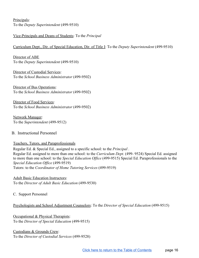#### Principals: To the *Deputy Superintendent* (499-9510)

Vice-Principals and Deans of Students: To the *Principal*

Curriculum Dept., Dir. of Special Education, Dir. of Title I: To the *Deputy Superintendent* (499-9510)

Director of ABE To the *Deputy Superintendent* (499-9510)

Director of Custodial Services: To the *School Business Administrator* (499-9502)

Director of Bus Operations: To the *School Business Administrator* (499-9502)

Director of Food Services: To the *School Business Administrator* (499-9502)

Network Manager: To the *Superintendent* (499-9512)

B. Instructional Personnel

Teachers, Tutors, and Paraprofessionals

Regular Ed. & Special Ed., assigned to a specific school: to the *Principal .* Regular Ed. assigned to more than one school: to the *Curriculum Dept.* (499- 9524) Special Ed. assigned to more than one school: to the *Special Education Office* (499-9515) Special Ed. Paraprofessionals to the *Special Education Office* (499-9519) Tutors: to the *Coordinator of Home Tutoring Services* (499-9519)

Adult Basic Education Instructors: To the *Director of Adult Basic Education* (499-9530)

C. Support Personnel

Psychologists and School Adjustment Counselors: To the *Director of Special Education* (499-9515)

Occupational & Physical Therapists: To the *Director of Special Education* (499-9515)

Custodians & Grounds Crew: To the *Director of Custodial Services* (499-9528)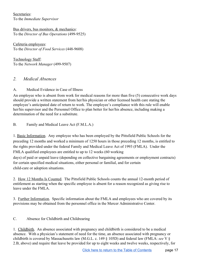Secretaries: To the *Immediate Supervisor*

Bus drivers, bus monitors, & mechanics: To the *Director of Bus Operations* (499-9525)

Cafeteria employees: To the *Director of Food Services* (448-9608)

Technology Staff: To the *Network Manager* (499-9507)

# <span id="page-17-0"></span>*2. Medical Absences*

# A. Medical Evidence in Case of Illness

An employee who is absent from work for medical reasons for more than five (5) consecutive work days should provide a written statement from her/his physician or other licensed health care stating the employee's anticipated date of return to work. The employee's compliance with this rule will enable her/his supervisor and the Personnel Office to plan better for her/his absence, including making a determination of the need for a substitute.

B. Family and Medical Leave Act (F.M.L.A.)

1. Basic Information. Any employee who has been employed by the Pittsfield Public Schools for the preceding 12 months and worked a minimum of 1250 hours in those preceding 12 months, is entitled to the rights provided under the federal Family and Medical Leave Act of 1993 (FMLA). Under the FMLA qualified employees are entitled to up to 12 weeks (60 working days) of paid or unpaid leave (depending on collective bargaining agreements or employment contracts) for certain specified medical situations, either personal or familial, and for certain child-care or adoption situations.

2. How 12 Months Is Counted. The Pittsfield Public Schools counts the annual 12-month period of entitlement as starting when the specific employee is absent for a reason recognized as giving rise to leave under the FMLA.

3. Further Information. Specific information about the FMLA and employees who are covered by its provisions may be obtained from the personnel office in the Mercer Administrative Center.

# C. Absence for Childbirth and Childrearing

1. Childbirth. An absence associated with pregnancy and childbirth is considered to be a medical absence. With a physician's statement of need for the time, an absence associated with pregnancy or childbirth is covered by Massachusetts law (M.G.L. c. 149 § 105D) and federal law (FMLA: *see* V § 2.B, above) and require that leave be provided for up to eight weeks and twelve weeks, respectively, for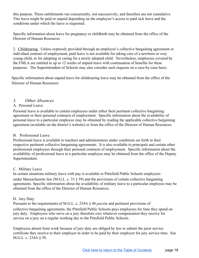this purpose. These entitlements run concurrently, not successively, and therefore are not cumulative. This leave might be paid or unpaid depending on the employee's access to paid sick leave and the conditions under which the leave is requested.

Specific information about leave for pregnancy or childbirth may be obtained from the office of the Director of Human Resources

2. Childrearing. Unless expressly provided through an employee's collective bargaining agreement or individual contract of employment, paid leave is not available for taking care of a newborn or very young child, or for adopting or caring for a newly adopted child. Nevertheless, employees covered by the FMLA are entitled to up to 12 weeks of unpaid leave with continuation of benefits for these purposes. The Superintendent of Schools may also consider such requests on a case-by-case basis.

Specific information about unpaid leave for childrearing leave may be obtained from the office of the Director of Human Resources

#### <span id="page-18-0"></span>*3. Other Absences*

#### A. Personal Leave.

Personal leave is available to certain employees under either their pertinent collective bargaining agreement or their personal contracts of employment. Specific information about the availability of personal leave to a particular employee may be obtained by reading the applicable collective bargaining agreement (available on the district's website) or from the office of the Director of Human Resources.

#### B. Professional Leave.

Professional leave is available to teachers and administrators under conditions set forth in their respective pertinent collective bargaining agreements. It is also available to principals and certain other professional employees through their personal contracts of employment. Specific information about the availability of professional leave to a particular employee may be obtained from the office of the Deputy Superintendent.

#### C. Military Leave

In certain situations military leave with pay is available to Pittsfield Public Schools employees under Massachusetts law (M.G.L. c. 33 § 59) and the provisions of certain collective bargaining agreements. Specific information about the availability of military leave to a particular employee may be obtained from the office of the Director of Human Resources.

# D. Jury Duty

Pursuant to the requirements of M.G.L. c. 234A § 48 *passim* and pertinent provisions of collective bargaining agreements, the Pittsfield Public Schools pays employees for time they spend on jury duty. Employees who serve on a jury therefore owe whatever compensation they receive for service on a jury on a regular working day to the Pittsfield Public Schools.

Employees absent from work because of jury duty are obliged by law to submit the juror service certificate they receive to their employer in order to be paid by their employer for jury service time. See M.G.L. c. 234A § 58.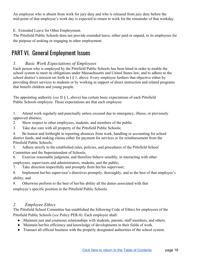An employee who is absent from work for jury duty and who is released from jury duty before the mid-point of that employee's work day is expected to return to work for the remainder of that workday.

E. Extended Leave for Other Employment.

The Pittsfield Public Schools does not provide extended leave, either paid or unpaid, to its employees for the purpose of seeking or engaging in other employment.

# <span id="page-19-0"></span>PART VI. General Employment Issues

# <span id="page-19-1"></span>*1. Basic Work Expectations of Employees*

Each person who is employed by the Pittsfield Public Schools has been hired in order to enable the school system to meet its obligations under Massachusetts and United States law, and to adhere to the school district's mission set forth in I § 1, above. Every employee furthers that objective either by providing direct services to students or by working in support of direct instruction and related programs that benefit children and young people.

The appointing authority (*see* II § 1, above) has certain basic expectations of each Pittsfield Public Schools employee. Those expectations are that each employee:

1. Attend work regularly and punctually unless excused due to emergency, illness, or previously approved absence;

2. Show respect to other employees, students, and members of the public

3. Take due care with all property of the Pittsfield Public Schools;

4. Be honest and forthright in reporting absences from work, handling or accounting for school district funds, and making claims either for payment for services or for reimbursement from the Pittsfield Public Schools;

5. Adhere strictly to the established rules, policies, and procedures of the Pittsfield School Committee and the Superintendent of Schools;

6. Exercise reasonable judgment, and therefore behave sensibly, in interacting with other employees, supervisors and administrators, students, and the public;

7. Take direction respectfully and promptly from her/his supervisor;

8. Implement her/his supervisor's directives promptly, thoroughly, and to the best of that employee's ability; and

9. Otherwise perform to the best of her/his ability all the duties associated with that employee's specific position in the Pittsfield Public Schools.

# <span id="page-19-2"></span>*2. Employee Ethics*

The Pittsfield School Committee has established the following Code of Ethics for employees of the Pittsfield Public Schools (*see* Policy PER-8). Each employee shall:

- Maintain just and courteous relationships with students, parents, staff members, and others.
- Maintain her/his efficiency and knowledge of developments in their fields of work.
- Transact all official business with the properly designated authorities of the school system.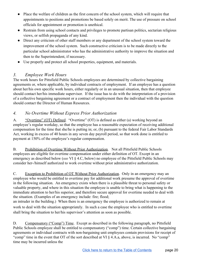- Place the welfare of children as the first concern of the school system, which will require that appointments to positions and promotions be based solely on merit. The use of pressure on school officials for appointment or promotion is unethical.
- Restrain from using school contacts and privileges to promote partisan politics, sectarian religious views, or selfish propaganda of any kind.
- Direct any criticism of other staff members or any department of the school system toward the improvement of the school system. Such constructive criticism is to be made directly to the particular school administrator who has the administrative authority to improve the situation and then to the Superintendent, if necessary.
- Use properly and protect all school properties, equipment, and materials.

# <span id="page-20-0"></span>*3. Employee Work Hours*

The work hours for Pittsfield Public Schools employees are determined by collective bargaining agreements or, where applicable, by individual contracts of employment. If an employee has a question about her/his own specific work hours, either regularly or in an unusual situation, then that employee should contact her/his immediate supervisor. If the issue has to do with the interpretation of a provision of a collective bargaining agreement or a contract of employment then the individual with the question should contact the Director of Human Resources.

# <span id="page-20-1"></span>*4. No Overtime Without Express Prior Authorization*

A. "Overtime" (OT) Defined. "Overtime" (OT) is defined as either (a) working beyond an employee's regular workday, so that the employee has a reasonable expectation of receiving additional compensation for the time that she/he is putting in; or, (b) pursuant to the federal Fair Labor Standards Act, working in excess of 40 hours in any seven day payroll period, so that work done is entitled to payment at 150% of the employee's regular compensation.

B. Prohibition of Overtime Without Prior Authorization. Not all Pittsfield Public Schools employees are eligible for overtime compensation under either definition of OT. Except in an emergency as described below (*see* VI § 4.C, below) no employee of the Pittsfield Public Schools may consider her-/himself authorized to work overtime without prior administrative authorization.

C. Exception to Prohibition of OT Without Prior Authorization. Only in an emergency may an employee who would be entitled to overtime pay for additional work presume the approval of overtime in the following situation. An emergency exists when there is a plausible threat to personal safety or valuable property, and where in this situation the employee is unable to bring what is happening to the immediate attention to her/his superior, and therefore secure approval for overtime needed to deal with the situation. (Examples of an emergency include: fire; flood;

an intruder in the building.) When there is an emergency the employee is authorized to remain at work to deal with the situation appropriately. In such a case the employee who is entitled to overtime shall bring the situation to her/his supervisor's attention as soon as possible.

D. Compensatory ("Comp") Time. Except as described in the following paragraph, no Pittsfield Public Schools employee shall be entitled to compensatory ("comp") time. Certain collective bargaining agreements or individual contracts with non-bargaining unit employees contain provisions for receipt of "comp" time in the event that OT of the sort described at VI § 4.A.a, above, is incurred. No "comp" time may be incurred unless the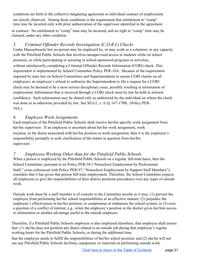conditions set forth in the collective bargaining agreement or individual contract of employment are strictly observed. Among those conditions is the requirement that entitlement to "comp" time may be incurred only with prior authorization of the supervisor identified in the agreement

or contract. No entitlement to "comp" time may be incurred, and no right to "comp" time may be claimed, under any other condition.

# <span id="page-21-0"></span>*5. Criminal Of ender Records Investigation (C.O.R.I.) Checks*

Under Massachusetts law no person may be employed by, or may work as a volunteer, in any capacity with the Pittsfield Public Schools that involves unsupervised access to students while on school premises, or while participating or assisting in school-sponsored programs or activities, without satisfactorily completing a Criminal Offender Records Information (CORI) check. This requirement is implemented by School Committee Policy PER-10A. Because of the requirement imposed by state law on School Committees and Superintendents to secure CORI checks on all employees, an employee's refusal to authorize the Superintendent to file a request for a CORI check may be deemed to be a most serious disciplinary issue, possibly resulting in termination of employment. Information that is received through a CORI check must by law be held in strictest confidence. Such information may be shared only as authorized by the individual on whom the check was done or as otherwise provided by law. See M.G.L. c. 6 §§ 167-178B. (Policy PER-10A.)

# <span id="page-21-1"></span>*6. Employee Work Assignments*

Each employee of the Pittsfield Public Schools shall receive her/his specific work assignment from her/his supervisor. If an employee is uncertain about her/his work assignment, work location, or the duties associated with her/his position or work assignment, then it is the employee's responsibility promptly to seek clarification of the matter in question from her/his supervisor.

# <span id="page-21-2"></span>*7. Employees Working Other than for the Pittsfield Public Schools*

When a person is employed by the Pittsfield Public Schools on a regular, full-time basis, then the School Committee, pursuant to its Policy PER-58 ("Nonschool Employment by Professional Staff," cross-referenced with Policy PER-97, "Nonschool Employment by Support Staff Members"), considers that it has given that person full-time employment. Therefore, the School Committee expects all employees to give the responsibilities of their district positions precedence over any types of outside work.

Outside work done by a staff member is of concern to the Committee insofar as it may: (1) prevent the employee from performing her/his school responsibilities in an effective manner; (2) prejudice the employee's effectiveness in her/his position, or compromise or embarrass the school system; or (3) raise a question of a conflict of interest, e.g., when the employee's position in the district gives her/him access to information or another advantage useful to the outside employer.

Therefore, if a Pittsfield Public Schools employee is also employed elsewhere, that employee shall ensure that: (1) she/he does not perform any duties related to an outside job during that employee's regular working hours for the Pittsfield Public Schools, or during the additional time

that the employee needs to fulfill the responsibilities of her/his school position; and (2) she/he will not use any Pittsfield Public Schools facilities, equipment, or materials in performing outside work.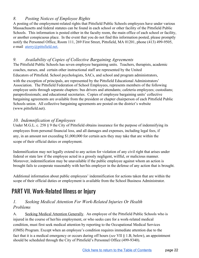# <span id="page-22-0"></span>*8. Posting Notices of Employee Rights*

A posting of the employment-related rights that Pittsfield Public Schools employees have under various Massachusetts and federal statutes can be found in each school or other facility of the Pittsfield Public Schools. This information is posted either in the faculty room, the main office of each school or facility, or another conspicuous place. In the event that you do not find this information posted, please promptly notify the Personnel Office, Room 111, 269 First Street, Pittsfield, MA 01201, phone (413) 499-9505, e-mail [aterry@pittsfield.net.](mailto:aterry@pittsfield.net)

# <span id="page-22-1"></span>*9. Availability of Copies of Collective Bargaining Agreements*

The Pittsfield Public Schools has seven employee bargaining units. Teachers, therapists, academic coaches, nurses, and certain other instructional staff are represented by the United Educators of Pittsfield. School psychologists, SACs, and school and program administrators, with the exception of principals, are represented by the Pittsfield Educational Administrators' Association. The Pittsfield Federation of School Employees, represents members of the following employee units through separate chapters: bus drivers and attendants; cafeteria employees; custodians; paraprofessionals; and educational secretaries. Copies of employee bargaining units' collective bargaining agreements are available from the president or chapter chairperson of each Pittsfield Public Schools union. All collective bargaining agreements are posted on the district's website (www.pittsfield.net).

# <span id="page-22-2"></span>*10. Indemnification of Employees*

Under M.G.L. c. 258 § 9 the City of Pittsfield obtains insurance for the purpose of indemnifying its employees from personal financial loss, and all damages and expenses, including legal fees, if any, in an amount not exceeding \$1,000,000 for certain acts they may take that are within the scope of their official duties or employment.

Indemnification may not legally extend to any action for violation of any civil right that arises under federal or state law if the employee acted in a grossly negligent, willful, or malicious manner. Moreover, indemnification may be unavailable if the public employee against whom an action is brought fails to cooperate reasonably with her/his employer in the defense of any action that is brought.

Additional information about public employees' indemnification for actions taken that are within the scope of their official duties or employment is available from the School Business Administrator.

# <span id="page-22-3"></span>PART VII. Work-Related Illness or Injury

# <span id="page-22-4"></span>*1. Seeking Medical Attention For Work-Related Injuries Or Health Problems*

A. Seeking Medical Attention Generally. An employee of the Pittsfield Public Schools who is injured in the course of her/his employment, or who seeks care for a work-related medical condition, must first seek medical attention by reporting to the Occupational Medical Services (OMS) Program. Except when an employee's condition requires immediate attention due to the fact that it is a medical emergency or occurs during off hours (*see* VII § 1.B, below), an appointment should be scheduled through the City of Pittsfield's Personnel Office (499-9340).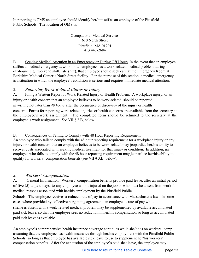In reporting to OMS an employee should identify her/himself as an employee of the Pittsfield Public Schools. The location of OMS is:

> Occupational Medical Services 610 North Street Pittsfield, MA 01201 413 447-2684

B. Seeking Medical Attention in an Emergency or During Off Hours. In the event that an employee suffers a medical emergency at work, or an employee has a work-related medical problem during off-hours (e.g., weekend shift, late shift), that employee should seek care at the Emergency Room at Berkshire Medical Center's North Street facility. For the purpose of this section, a medical emergency is a situation in which the employee's condition is serious and requires immediate medical attention.

# <span id="page-23-0"></span>*2. Reporting Work-Related Illness or Injury*

A. Filing a Written Report of Work-Related Injury or Health Problem. A workplace injury, or an injury or health concern that an employee believes to be work-related, should be reported in writing not later than *48 hours* after the occurrence or discovery of the injury or health

concern. Forms for reporting work-related injuries or health concerns are available from the secretary at the employee's work assignment. The completed form should be returned to the secretary at the employee's work assignment. *See* VII § 2.B, below.

# B. Consequences of Failing to Comply with 48 Hour Reporting Requirement.

An employee who fails to comply with the 48 hour reporting requirement for a workplace injury or any injury or health concern that an employee believes to be work-related may jeopardize her/his ability to recover costs associated with seeking medical treatment for that injury or condition. In addition, an employee who fails to comply with the 48 hour reporting requirement may jeopardize her/his ability to qualify for workers' compensation benefits (see VII § 3.B, below).

# <span id="page-23-1"></span>*3. Workers' Compensation*

A. General Information. Workers' compensation benefits provide paid leave, after an initial period of five (5) unpaid days, to any employee who is injured on the job or who must be absent from work for medical reasons associated with her/his employment by the Pittsfield Public

Schools. The employee receives a reduced rate of pay in accordance with Massachusetts law. In some cases where provided by collective bargaining agreement, an employee's rate of pay while she/he is absent with a work-related medical problem may be supplemented by available accumulated paid sick leave, so that the employee sees no reduction in her/his compensation so long as accumulated paid sick leave is available.

An employee's comprehensive health insurance coverage continues while she/he is on workers' comp, assuming that the employee has health insurance through her/his employment with the Pittsfield Public Schools, so long as that employee has available sick leave to use to supplement her/his workers' compensation benefits. After the exhaustion of the employee's paid sick leave, the employee may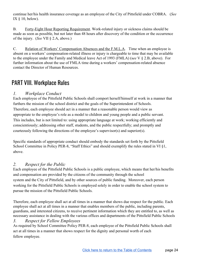continue her/his health insurance coverage as an employee of the City of Pittsfield under COBRA. (*See* IX  $§$  10, below).

B. Forty-Eight Hour Reporting Requirement. Work-related injury or sickness claims should be made as soon as possible, but not later than 48 hours after discovery of the condition or the occurrence of the injury. (*See* VII § 2.A, above.)

C. Relation of Workers' Compensation Absences and the F.M.L.A. Time when an employee is absent on a workers' compensation-related illness or injury is chargeable to time that may be available to the employee under the Family and Medical leave Act of 1993 (FMLA) (s*ee* V § 2.B, above). For further information about the use of FMLA time during a workers' compensation-related absence contact the Director of Human Resources.

# <span id="page-24-0"></span>PART VIII. Workplace Rules

# <span id="page-24-1"></span>*1. Workplace Conduct*

Each employee of the Pittsfield Public Schools shall comport herself/himself at work in a manner that furthers the mission of the school district and the goals of the Superintendent of Schools. Therefore, each employee should act in a manner that a reasonable person would view as appropriate to the employee's role as a model to children and young people and a public servant. This includes, but is not limited to: using appropriate language at work; working efficiently and conscientiously; addressing other staff, students, and the public respectfully; and promptly and courteously following the directions of the employee's supervisor(s) and superior(s).

Specific standards of appropriate conduct should embody the standards set forth by the Pittsfield School Committee in Policy PER-8, "Staff Ethics" and should exemplify the rules stated in VI §1, above.

# <span id="page-24-2"></span>*2. Respect for the Public*

Each employee of the Pittsfield Public Schools is a public employee, which means that her/his benefits and compensation are provided by the citizens of the community through the school system and the City of Pittsfield, and by other sources of public funding. Moreover, each person working for the Pittsfield Public Schools is employed solely in order to enable the school system to pursue the mission of the Pittsfield Public Schools.

Therefore, each employee shall act at all times in a manner that shows due respect for the public. Each employee shall act at all times in a manner that enables members of the public, including parents, guardians, and interested citizens, to receive pertinent information which they are entitled to, as well as necessary assistance in dealing with the various offices and departments of the Pittsfield Public Schools

# <span id="page-24-3"></span>*3. Respect for Fellow Employees*

As required by School Committee Policy PER-8, each employee of the Pittsfield Public Schools shall act at all times in a manner that shows respect for the dignity and personal worth of each fellow employee.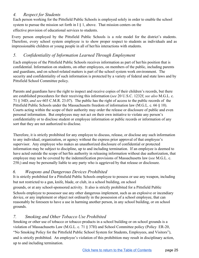# <span id="page-25-0"></span>*4. Respect for Students*

Each person working for the Pittsfield Public Schools is employed solely in order to enable the school system to pursue the mission set forth in I § 1, above. That mission centers on the effective provision of educational services to students.

Every person employed by the Pittsfield Public Schools is a role model for the district's students. Therefore, every school system employee is to show proper respect to students as individuals and as impressionable children or young people in all of her/his interactions with students.

# <span id="page-25-1"></span>*5. Confidentiality of Information Learned Through Employment*

Each employee of the Pittsfield Public Schools receives information as part of her/his position that is confidential. Information on students, on other employees, on members of the public, including parents and guardians, and on school-related matters is part of the school system work environment. The security and confidentiality of such information is protected by a variety of federal and state laws and by Pittsfield School Committee policy.

Parents and guardians have the right to inspect and receive copies of their children's records, but there are established procedures for their receiving this information (*see* 20 U.S.C. 1232f; *see also* M.G.L. c. 71 § 34D; *and see* 603 C.M.R. 23.07). The public has the right of access to the public records of the Pittsfield Public Schools under the Massachusetts freedom of information law (M.G.L. c. 66 § 10). Courts acting within the scope of their authority may order the release or disclosure of public and even personal information. But employees may not act on their own initiative to violate any person's confidentiality or to disclose student or employee information or public records or information of any sort that they are not authorized to disclose.

Therefore, it is strictly prohibited for any employee to discuss, release, or disclose any such information to any individual, organization, or agency without the express prior approval of that employee's supervisor. Any employee who makes an unauthorized disclosure of confidential or protected information may be subject to discipline, up to and including termination. If an employee is deemed to have acted outside the scope of her/his authority in releasing information without due authorization, that employee may not be covered by the indemnification provisions of Massachusetts law (*see* M.G.L. c. 258;) and may be personally liable to any party who is aggrieved by that release or disclosure.

# <span id="page-25-2"></span>*6. Weapons and Dangerous Devices Prohibited*

It is strictly prohibited for a Pittsfield Public Schools employee to possess or use any weapon, including but not restricted to a gun, knife, blade, or club, in a school building, on school grounds, or at any school-sponsored activity. It also is strictly prohibited for a Pittsfield Public Schools employee to possessor use any other dangerous implement, such as an explosive or incendiary device, or any implement or object not ordinarily in the possession of a school employee, that can reasonably be foreseen to have a use in harming another person, in any school building, or on school grounds.

# <span id="page-25-3"></span>*7. Smoking and Other Tobacco Use Prohibited*

Smoking or other use of tobacco or tobacco products in a school building or on school grounds is a violation of Massachusetts Law (M.G.L. c. 71 § 37H) and School Committee policy (Policy ER-20, "No Smoking Policy for the Pittsfield Public School System for Students, Employees, and Visitors"), and is strictly prohibited. An employee's violation of this prohibition may result in disciplinary action, up to and including termination.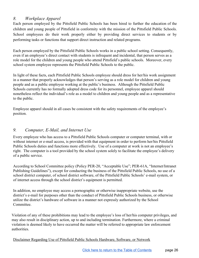# <span id="page-26-0"></span>*8. Workplace Apparel*

Each person employed by the Pittsfield Public Schools has been hired to further the education of the children and young people of Pittsfield in conformity with the mission of the Pittsfield Public Schools. School employees do their work properly either by providing direct services to students or by performing tasks or functions that support direct instruction and related programs.

Each person employed by the Pittsfield Public Schools works in a public school setting. Consequently, even if an employee's direct contact with students is infrequent and incidental, that person serves as a role model for the children and young people who attend Pittsfield's public schools. Moreover, every school system employee represents the Pittsfield Public Schools to the public.

In light of these facts, each Pittsfield Public Schools employee should dress for her/his work assignment in a manner that properly acknowledges that person's serving as a role model for children and young people and as a public employee working at the public's business. Although the Pittsfield Public Schools currently has no formally adopted dress code for its personnel, employee apparel should nonetheless reflect the individual's role as a model to children and young people and as a representative to the public.

Employee apparel should in all cases be consistent with the safety requirements of the employee's position.

# <span id="page-26-1"></span>*9. Computer, E-Mail, and Internet Use*

Every employee who has access to a Pittsfield Public Schools computer or computer terminal, with or without internet or e-mail access, is provided with that equipment in order to perform her/his Pittsfield Public Schools duties and functions more effectively. Use of a computer at work is not an employee's right. The computer is a tool provided by the school system solely to facilitate the employee's delivery of a public service.

According to School Committee policy (Policy PER-20, "Acceptable Use"; PER-61A, "Internet/Intranet Publishing Guidelines"), except for conducting the business of the Pittsfield Public Schools, no use of a school district computer, of school district software, of the Pittsfield Public Schools' e-mail system, or of internet access through the school district's equipment is permitted.

In addition, no employee may access a pornographic or otherwise inappropriate website, use the district's e-mail for purposes other than the conduct of Pittsfield Public Schools business, or otherwise utilize the district's hardware of software in a manner not expressly authorized by the School Committee.

Violation of any of these prohibitions may lead to the employee's loss of her/his computer privileges, and may also result in disciplinary action, up to and including termination. Furthermore, where a criminal violation is deemed likely to have occurred the matter will be referred to appropriate law enforcement authorities.

Disclaimer Regarding Use of Pittsfield Public Schools Hardware, Software, or Network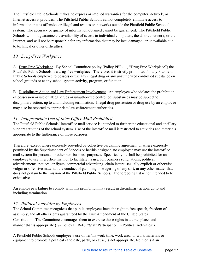The Pittsfield Public Schools makes no express or implied warranties for the computer, network, or Internet access it provides. The Pittsfield Public Schools cannot completely eliminate access to information that is offensive or illegal and resides on networks outside the Pittsfield Public Schools' system. The accuracy or quality of information obtained cannot be guaranteed. The Pittsfield Public Schools will not guarantee the availability of access to individual computers, the district network, or the Internet, and will not be responsible for any information that may be lost, damaged, or unavailable due to technical or other difficulties.

# <span id="page-27-0"></span>*10. Drug-Free Workplace*

A. Drug-Free Workplace. By School Committee policy (Policy PER-11, "Drug-Free Workplace") the Pittsfield Public Schools is a drug-free workplace. Therefore, it is strictly prohibited for any Pittsfield Public Schools employee to possess or use any illegal drug or any unauthorized controlled substance on school grounds or at any school system activity, program, or function.

B. Disciplinary Action and Law Enforcement Involvement. An employee who violates the prohibition of possession or use of illegal drugs or unauthorized controlled substances may be subject to disciplinary action, up to and including termination. Illegal drug possession or drug use by an employee may also be reported to appropriate law enforcement authorities.

# <span id="page-27-1"></span>*11. Inappropriate Use of Inter-Of ice Mail Prohibited*

The Pittsfield Public Schools' interoffice mail service is intended to further the educational and ancillary support activities of the school system. Use of the interoffice mail is restricted to activities and materials appropriate to the furtherance of those purposes.

Therefore, except where expressly provided by collective bargaining agreement or where expressly permitted by the Superintendent of Schools or her/his designee, no employee may use the interoffice mail system for personal or other non-business purposes. Specifically, it shall be prohibited for an employee to use interoffice mail, or to facilitate its use, for: business solicitations; political advertisements, notices, or flyers; commercial advertising; chain letters; sexually explicit or otherwise vulgar or offensive material; the conduct of gambling or wagering of any sort; or any other matter that does not pertain to the mission of the Pittsfield Public Schools. The foregoing list is not intended to be exhaustive.

An employee's failure to comply with this prohibition may result in disciplinary action, up to and including termination.

# <span id="page-27-2"></span>*12. Political Activities by Employees*

The School Committee recognizes that public employees have the right to free speech, freedom of assembly, and all other rights guaranteed by the First Amendment of the United States Constitution. The Committee encourages them to exercise those rights in a time, place, and manner that is appropriate (*see* Policy PER-16, "Staff Participation in Political Activities").

A Pittsfield Public Schools employee's use of her/his work time, work area, or work materials or equipment to promote a political candidate, party, or cause, is not appropriate. Neither is it an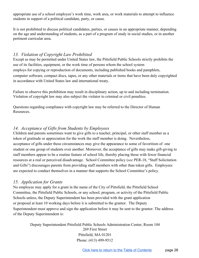appropriate use of a school employee's work time, work area, or work materials to attempt to influence students in support of a political candidate, party, or cause.

It is not prohibited to discuss political candidates, parties, or causes in an appropriate manner, depending on the age and understanding of students, as a part of a program of study in social studies, or in another pertinent curricular area.

# <span id="page-28-0"></span>*13. Violation of Copyright Law Prohibited*

Except as may be permitted under United States law, the Pittsfield Public Schools strictly prohibits the use of its facilities, equipment, or the work time of persons whom the school system employs for copying or reproduction of documents, including published books and pamphlets, computer software, compact discs, tapes, or any other materials or items that have been duly copyrighted in accordance with United States law and international treaty.

Failure to observe this prohibition may result in disciplinary action, up to and including termination. Violation of copyright law may also subject the violator to criminal or civil penalties.

Questions regarding compliance with copyright law may be referred to the Director of Human Resources.

# <span id="page-28-1"></span>*14. Acceptance of Gifts from Students by Employees*

Children and parents sometimes want to give gifts to a teacher, principal, or other staff member as a token of gratitude or appreciation for the work the staff member is doing. Nevertheless, acceptance of gifts under these circumstances may give the appearance to some of favoritism of one student or one group of students over another. Moreover, the acceptance of gifts may make gift-giving to staff members appear to be a routine feature of school life, thereby placing those with fewer financial resources at a real or perceived disadvantage. School Committee policy (*see* PER-18, "Staff Solicitation and Gifts") discourages parents from providing staff members with other than token gifts. Employees are expected to conduct themselves in a manner that supports the School Committee's policy.

# <span id="page-28-2"></span>*15. Application for Grants*

No employee may apply for a grant in the name of the City of Pittsfield, the Pittsfield School Committee, the Pittsfield Public Schools, or any school, program, or activity of the Pittsfield Public Schools unless, the Deputy Superintendent has been provided with the grant application or proposal at least 10 working days before it is submitted to the grantor. The Deputy Superintendent must approve and sign the application before it may be sent to the grantor. The address of the Deputy Superintendent is:

> Deputy Superintendent Pittsfield Public Schools Administration Center, Room 104 269 First Street Pittsfield, MA 01201 Phone: (413) 499-9512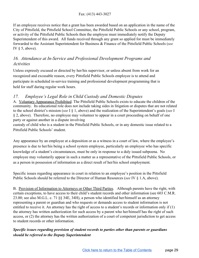#### Fax: (413) 443-3027

If an employee receives notice that a grant has been awarded based on an application in the name of the City of Pittsfield, the Pittsfield School Committee, the Pittsfield Public Schools or any school, program, or activity of the Pittsfield Public Schools then the employee must immediately notify the Deputy Superintendent of this award. All funds received through any grant so applied for must be immediately forwarded to the Assistant Superintendent for Business & Finance of the Pittsfield Public Schools (*see* IV  $\S$  5, above).

# <span id="page-29-0"></span>*16. Attendance at In-Service and Professional Development Programs and Activities*

Unless expressly excused or directed by her/his supervisor, or unless absent from work for an recognized and excusable reason, every Pittsfield Public Schools employee is to attend and participate in scheduled in-service training and professional development programming that is held for staff during regular work hours.

# <span id="page-29-1"></span>*17. Employee's Legal Role in Child Custody and Domestic Disputes*

A. Voluntary Appearance Prohibited. The Pittsfield Public Schools exists to educate the children of the community. Its educational role does not include taking sides in litigation or disputes that are not related to the school district's mission (*see* I § 1, above) and the realization of the Superintendent's goals (*see* I § 2, above). Therefore, no employee may volunteer to appear in a court proceeding on behalf of one party or against another in a dispute involving

custody of child who is a student in the Pittsfield Public Schools, or in any domestic issue related to a Pittsfield Public Schools' student.

Any appearance by an employee at a deposition or as a witness in a court of law, where the employee's presence is due to her/his being a school system employee, particularly an employee who has specific knowledge of a student's circumstances, must be only in response to a duly issued subpoena. No employee may voluntarily appear in such a matter as a representative of the Pittsfield Public Schools, or as a person in possession of information as a direct result of her/his school employment.

Specific issues regarding appearance in court in relation to an employee's position in the Pittsfield Public Schools should be referred to the Director of Human Resources (*see* IV § 1.A, above).

B. Provision of Information to Attorneys or Other Third Parties. Although parents have the right, with certain exceptions, to have access to their child's student records and other information (see 603 C.M.R. 23.00; see also M.G.L. c. 71 §§ 34E, 34H), a person who identified her/himself as an attorney representing a parent or guardian and who requests or demands access to student information is not entitled to receive it. An attorney has the right of access to a student's records or information only if (1) the attorney has written authorization for such access by a parent who her/himself has the right of such access, or (2) the attorney has the written authorization of a court of competent jurisdiction to get access to student records or other information.

# *Specific issues regarding provision of student records to parties other than parents or guardians should be referred to the Deputy Superintendent*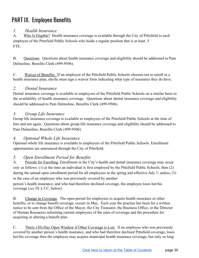# <span id="page-30-0"></span>PART IX. Employee Benefits

# <span id="page-30-1"></span>*1. Health Insurance*

A. Who Is Eligible? Health insurance coverage is available through the City of Pittsfield to each employee of the Pittsfield Public Schools who holds a regular position that is at least .5 FTE.

B. Questions: Questions about health insurance coverage and eligibility should be addressed to Pam Delmolino, Benefits Clerk (499-9506).

C. Waiver of Benefits: If an employee of the Pittsfield Public Schools chooses not to enroll in a health insurance plan, she/he must sign a waiver form indicating what type of insurance they do have.

# <span id="page-30-2"></span>*2. Dental Insurance*

Dental insurance coverage is available to employees of the Pittsfield Public Schools on a similar basis to the availability of health insurance coverage. Questions about dental insurance coverage and eligibility should be addressed to Pam Delmolino, Benefits Clerk (499-9506).

# <span id="page-30-3"></span>*3. Group Life Insurance*

Group life insurance coverage is available to employees of the Pittsfield Public Schools at the time of hire and not again. Questions about group life insurance coverage and eligibility should be addressed to Pam Delmolino, Benefits Clerk (499-9506).

# <span id="page-30-4"></span>*4. Optional Whole Life Insurance*

Optional whole life insurance is available to employees of the Pittsfield Public Schools. Enrollment opportunities are announced through the City of Pittsfield.

# <span id="page-30-5"></span>*5. Open Enrollment Period for Benefits*

A. Periods for Enrolling. Enrollment in the City's health and dental insurance coverage may occur *only* as follows: (1) at the time an individual is first employed by the Pittsfield Public Schools; then (2) during the annual open enrollment period for all employees in the spring and effective July 1; unless, (3) in the case of an employee who was previously covered by another

person's health insurance, and who had therefore declined coverage, the employee loses her/his coverage (*see* IX § 5.C, below).

B. Change in Coverage. The open period for employees to acquire health insurance or other benefits, or to change benefit coverage, occurs in May. Each year the practice has been for a written notice to be sent from the Office of the Mayor, the City Treasurer, the Business Office, or the Director of Human Resources informing current employees of the rates of coverage and the procedure for acquiring or altering a benefit plan.

C. Thirty (30)-Day Open Window if Other Coverage is Lost. If an employee who was previously covered by another person's health insurance, and who had therefore declined Pittsfield coverage, loses her/his coverage then the employee may acquire municipal health insurance coverage, but only so long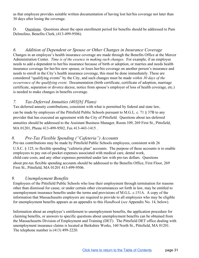as that employee provides suitable written documentation of having lost her/his coverage not later than 30 days after losing the coverage.

D. Questions. Questions about the open enrollment period for benefits should be addressed to Pam Delmolino, Benefits Clerk, (413-499-9506).

# <span id="page-31-0"></span>*6. Addition of Dependent or Spouse or Other Changes in Insurance Coverage*

Changes in an employee's health insurance coverage are made through the Benefits Office at the Mercer Administration Center. *Time is of the essence in making such changes*. For example, if an employee needs to add a dependent to her/his insurance because of birth or adoption, or marries and needs health insurance coverage for her/his new spouse, or loses her/his coverage on another person's insurance and needs to enroll in the City's health insurance coverage, this must be done immediately. These are considered "qualifying events" by the City, and such changes must be made *within 30 days of the occurrence of the qualifying event*. Documentation (birth certificate, certificate of adoption, marriage certificate, separation or divorce decree, notice from spouse's employer of loss of health coverage, etc.) is needed to make changes in benefits coverage.

# <span id="page-31-1"></span>*7. Tax-Deferred Annuities (403[b] Plans)*

Tax-deferred annuity contributions, consistent with what is permitted by federal and state law, can be made by employees of the Pittsfield Public Schools pursuant to M.G.L. c. 71 § 37B to any provider that has executed an agreement with the City of Pittsfield. Questions about tax-deferred annuities should be addressed to the Assistant Business Manager, Room 109, 269 First St., Pittsfield, MA 01201, Phone 413-499-9502, Fax 413-443-1415 .

# <span id="page-31-2"></span>*8. Pre-Tax Flexible Spending ("Cafeteria") Accounts*

Pre-tax contributions may be made by Pittsfield Public Schools employees, consistent with 26 U.S.C. § 125, to flexible spending "cafeteria plan" accounts. The purpose of these accounts is to enable employees to pay out-of-pocket expenses associated with medical care, dental work, child-care costs, and any other expenses permitted under law with pre-tax dollars. Questions about pre-tax flexible spending accounts should be addressed to the Benefits Office, First Floor, 269 First St., Pittsfield, MA 01201 413-499-9506.

# <span id="page-31-3"></span>*9. Unemployment Benefits*

Employees of the Pittsfield Public Schools who lose their employment through termination for reasons other than dismissal for cause, or under certain other circumstances set forth in law, may be entitled to unemployment insurance benefits under the terms and provisions of M.G.L. c.151A. A copy of the information that Massachusetts employers are required to provide to all employees who may be eligible for unemployment benefits appears as an appendix to this *Handbook* (*see* Appendix No. 14, below).

Information about an employee's entitlement to unemployment benefits, the application procedure for claiming benefits, or answers to specific questions about unemployment benefits can be obtained from the Massachusetts Division of Employment and Training (DET). The Pittsfield DET office dealing with unemployment insurance claims is located at Berkshire Works, 160 North St., Pittsfield, MA 01201. The telephone number is (413) 499-2220.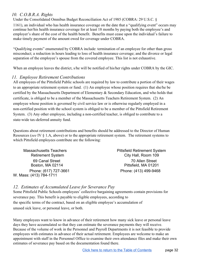# <span id="page-32-0"></span>*10. C.O.B.R.A. Rights*

Under the Consolidated Omnibus Budget Reconciliation Act of 1985 (COBRA: 29 U.S.C. §

1161), an individual who has health insurance coverage on the date that a "qualifying event" occurs may continue her/his health insurance coverage for at least 18 months by paying both the employee's and employer's share of the cost of the health benefit. Benefits must cease upon the individual's failure to make timely payment of the amount owed for coverage under COBRA.

"Qualifying events" enumerated by COBRA include: termination of an employee for other than gross misconduct; a reduction in hours leading to loss of health insurance coverage; and the divorce or legal separation of the employee's spouse from the covered employee. This list is not exhaustive.

When an employee leaves the district, s/he will be notified of his/her rights under COBRA by the GIC.

#### <span id="page-32-1"></span>*11. Employee Retirement Contributions*

All employees of the Pittsfield Public schools are required by law to contribute a portion of their wages to an appropriate retirement system or fund. (1) An employee whose position requires that she/he be certified by the Massachusetts Department of Elementary & Secondary Education, and who holds that certificate, is obliged to be a member of the Massachusetts Teachers Retirement System. (2) An employee whose position is governed by civil service law or is otherwise regularly employed in a non-certified position with the school system is obliged to be a member of the Pittsfield Retirement System. (3) Any other employee, including a non-certified teacher, is obliged to contribute to a state-wide tax-deferred annuity fund.

Questions about retirement contributions and benefits should be addressed to the Director of Human Resources (*see* IV § 1.A, above) or to the appropriate retirement system. The retirement systems to which Pittsfield employees contribute are the following:

W. Mass: (413) 784-1711

Massachusetts Teachers **Pittsfield Retirement System** Retirement System City Hall, Room 109 69 Canal Street 70 Allen Street Boston, MA 02114 Pittsfield, MA 01201 Phone: (617) 727-3661 Phone: (413) 499-9468

<span id="page-32-2"></span>*12. Estimates of Accumulated Leave for Severance Pay*

Some Pittsfield Public Schools employees' collective bargaining agreements contain provisions for severance pay. This benefit is payable to eligible employees, according to the specific terms of the contract, based on an eligible employee's accumulation of unused sick leave, or personal leave, or both.

Many employees want to know in advance of their retirement how many sick leave or personal leave days they have accumulated so that they can estimate the severance payments they will receive. Because of the volume of work in the Personnel and Payroll Departments it is not feasible to provide employees with estimates in advance of their actual retirement. Employees are welcome to make an appointment with staff in the Personnel Office to examine their own attendance files and make their own estimates of severance pay based on the documentation found there.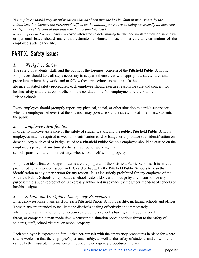N*o employee should rely on information that has been provided to her/him in prior years by the Administration Center, the Personnel Office, or the building secretary as being necessarily an accurate or definitive statement of that individual's accumulated sick*

*leave or personal leave.* Any employee interested in determining her/his accumulated unused sick leave or personal leave should make that estimate her-/himself, based on a careful examination of the employee's attendance file.

# <span id="page-33-0"></span>PART X. Safety Issues

# <span id="page-33-1"></span>*1. Workplace Safety*

The safety of students, staff, and the public is the foremost concern of the Pittsfield Public Schools. Employees should take all steps necessary to acquaint themselves with appropriate safety rules and procedures where they work, and to follow those procedures as required. In the absence of stated safety procedures, each employee should exercise reasonable care and concern for her/his safety and the safety of others in the conduct of her/his employment by the Pittsfield Public Schools.

Every employee should promptly report any physical, social, or other situation to her/his supervisor when the employee believes that the situation may pose a risk to the safety of staff members, students, or the public.

# <span id="page-33-2"></span>*2. Employee Identification*

In order to improve assurance of the safety of students, staff, and the public, Pittsfield Public Schools employees may be required to wear an identification card or badge, or to produce such identification on demand. Any such card or badge issued to a Pittsfield Public Schools employee should be carried on the employee's person at any time she/he is in school or working in a school-sponsored function or activity, whether on or off school property.

Employee identification badges or cards are the property of the Pittsfield Public Schools. It is strictly prohibited for any person issued an I.D. card or badge by the Pittsfield Public Schools to loan that identification to any other person for any reason. It is also strictly prohibited for any employee of the Pittsfield Public Schools to reproduce a school system I.D. card or badge by any means or for any purpose unless such reproduction is expressly authorized in advance by the Superintendent of schools or her/his designee.

# <span id="page-33-3"></span>*3. School and Workplace Emergency Procedures*

Emergency response plans exist for each Pittsfield Public Schools facility, including schools and offices. These plans are intended to facilitate the district's dealing effectively and immediately when there is a natural or other emergency, including a school's having an intruder, a bomb threat, or comparable man-made risk, whenever the situation poses a serious threat to the safety of students, staff, school visitors, or school property.

Each employee is expected to familiarize her/himself with the emergency procedures in place for where she/he works, so that the employee's personal safety, as well as the safety of students and co-workers, can be better ensured. Information on the specific emergency procedures in place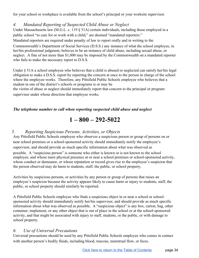for your school or workplace is available from the school's principal or your worksite supervisor.

# <span id="page-34-0"></span>*4. Mandated Reporting of Suspected Child Abuse or Neglect*

Under Massachusetts law (M.G.L. c. 119 § 51A) certain individuals, including those employed in a public school "to care for or work with a child," are deemed "mandated reporters."

Mandated reporters are required under penalty of law to report orally and in writing to the

Commonwealth's Department of Social Services (D.S.S.) any instance of what the school employee, in her/his professional judgment, believes to be an instance of child abuse, including sexual abuse, or neglect. A fine of not more than \$1,000 may be imposed by the Commonwealth on a mandated reporter who fails to make the necessary report to D.S.S.

Under § 51A a school employee who believes that a child is abused or neglected can satisfy her/his legal obligation to make a D.S.S. report by reporting the concern at once to the person in charge of the school where the employee works. Therefore, any Pittsfield Public Schools employee who believes that a student in one of the district's schools or programs is or may be

the victim of abuse or neglect should immediately report that concern to the principal or program supervisor under whose direction that employee works.

# *The telephone number to call when reporting suspected child abuse and neglect*

# **1 – 800 – 292-5022**

# <span id="page-34-1"></span>*5. Reporting Suspicious Persons, Activities, or Objects*

Any Pittsfield Public Schools employee who observes a suspicious person or group of persons on or near school premises or a school-sponsored activity should immediately notify the employee's supervisor, and should provide as much specific information about what was observed as

possible. A "suspicious person" is someone who either is known or is not known to the school employee, and whose mere physical presence at or near a school premises or school-sponsored activity, whose conduct or demeanor, or whose reputation or record gives rise to the employee's suspicion that the person observed may do harm to students, staff, the public, or school property.

Activities by suspicious persons, or activities by any person or group of persons that raises an employee's suspicion because the activity appears likely to cause harm or injury to students, staff, the public, or school property should similarly be reported.

A Pittsfield Public Schools employee who finds a suspicious object in or near a school or schoolsponsored activity should immediately notify her/his supervisor, and should provide as much specific information about what was observed as possible. A "suspicious object" is any box, carton, bag, other container, implement, or any other object that is out of place in the school or at the school-sponsored activity, and that might be associated with injury to staff, students, or the public, or with damage to school property.

# <span id="page-34-2"></span>*6. Use of Universal Precautions*

Universal precautions should be used by any Pittsfield Public Schools employee who comes in contact with another person's bodily fluids, including blood, mucous, menstrual flow, or feces.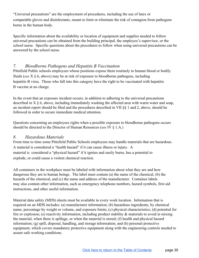"Universal precautions" are the employment of procedures, including the use of latex or comparable gloves and disinfectants, meant to limit or eliminate the risk of contagion from pathogens borne in the human body.

Specific information about the availability or location of equipment and supplies needed to follow universal precautions can be obtained from the building principal, the employee's supervisor, or the school nurse. Specific questions about the procedures to follow when using universal precautions can be answered by the school nurse.

# <span id="page-35-0"></span>*7. Bloodborne Pathogens and Hepatitis B Vaccination*

Pittsfield Public schools employees whose positions expose them routinely to human blood or bodily fluids (*see* X § 6, above) may be at risk of exposure to bloodborne pathogens, including hepatitis B virus. Those who fall into this category have the right to be vaccinated with hepatitis B vaccine at no charge.

In the event that an exposure incident occurs, in addition to adhering to the universal precautions described in  $X \S 6$ , above, including immediately washing the affected area with warm water and soap, an incident report should be filed and the procedures described in VII §§ 1 and 2, above, should be followed in order to secure immediate medical attention.

Questions concerning an employees rights when a possible exposure to bloodborne pathogens occurs should be directed to the Director of Human Resources (*see* IV § 1.A.)

# <span id="page-35-1"></span>*8. Hazardous Materials*

From time to time some Pittsfield Public Schools employees may handle materials that are hazardous. A material is considered a "health hazard" if it can cause illness or injury. A material is considered a "physical hazard" if it ignites and easily burns, has a potential to explode, or could cause a violent chemical reaction.

All containers in the workplace must be labeled with information about what they are and how dangerous they are to human beings. The label must contain (a) the name of the chemical, (b) the hazards of the chemical, and (c) the name and address of the manufacturer. Container labels may also contain other information, such as emergency telephone numbers, hazard symbols, first aid instructions, and other useful information.

Material data safety (MDS) sheets must be available in every work location. Information that is required on an MDS includes: (a) manufacturer information; (b) hazardous ingredients, by chemical name, percentage by weight or volume, and exposure limits; (c) physical characteristics; (d) potential for fire or explosion; (e) reactivity information, including product stability & materials to avoid in mixing the material, when there is spillage, or when the material is stored; (f) health and physical hazard information; (g) spill, disposal, handling, and storage information; and (h) personal protective equipment, which covers mandatory protective equipment along with the engineering controls needed to assure safe working conditions.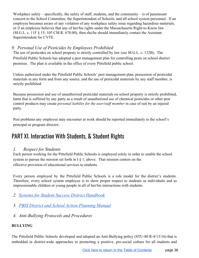Workplace safety – specifically, the safety of staff, students, and the community – is of paramount concern to the School Committee, the Superintendent of Schools, and all school system personnel. If an employee becomes aware of any violation of any workplace safety issue regarding hazardous materials, or if an employee believes that any of her/his rights under the Massachusetts Right-to-Know law (M.G.L. c. 11F § 15; 105 CM.R. 670.00), then she/he should immediately contact the Assistant Superintendent for CVTE.

# <span id="page-36-0"></span>*9. Personal Use of Pesticides by Employees Prohibited*

The use of pesticides on school property is strictly controlled by law (see M.G.L. c. 132B). The Pittsfield Public Schools has adopted a pest management plan for controlling pests on school district premises. The plan is available in the office of every Pittsfield public school.

Unless authorized under the Pittsfield Public Schools' pest management plan, possession of pesticidal materials in any form and from any source, and the use of pesticidal materials by any staff member, is strictly prohibited.

Because possession and use of unauthorized pesticidal materials on school property is strictly prohibited, harm that is suffered by any party as a result of unauthorized use of chemical pesticides or other pest control products may create *personal liability for the user/staff member* in case of suit by an injured party.

Pest problems any employee may encounter at work should be reported immediately to the school's principal or program director.

# <span id="page-36-1"></span>PART XI. Interaction With Students, & Student Rights

# <span id="page-36-2"></span>*1. Respect for Students*

Each person working for the Pittsfield Public Schools is employed solely in order to enable the school system to pursue the mission set forth in  $I \S 1$ , above. That mission centers on the effective provision of educational services to students.

Every person employed by the Pittsfield Public Schools is a role model for the district's students. Therefore, every school system employee is to show proper respect to students as individuals and as impressionable children or young people in all of her/his interactions with students.

- <span id="page-36-3"></span>*2. Systems for Student Success District [Handbook](https://docs.google.com/document/d/1jgmH5ysU8n8hJzZu1fIvMv7YQDZoWIP2pCMtCNMkyqk/edit)*
- <span id="page-36-4"></span>*3. PBIS District and School Action [Planning](https://docs.google.com/a/pittsfield.net/document/d/130iTdSudxboLTFmISio8ZiGrVTpndTJwFB3hlBO50Zc/edit?usp=sharing) Manual*
- <span id="page-36-5"></span>*4. Anti-Bullying Protocols and Procedures*

# **BULLYING**

The Pittsfield Public Schools developed and adopted an Anti-Bullying policy (STU-80 R-4/13/16) that is embedded in district-wide approaches to promoting a positive, pro-social culture for all students and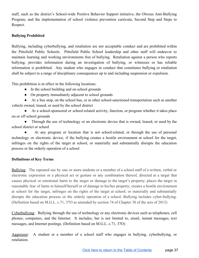staff, such as the district's School-wide Positive Behavior Support initiative, the Olweus Anti-Bullying Program, and the implementation of school violence prevention curricula, Second Step and Steps to Respect.

#### **Bullying Prohibited**

Bullying, including cyberbullying, and retaliation are not acceptable conduct and are prohibited within the Pittsfield Public Schools. Pittsfield Public School leadership and other staff will endeavor to maintain learning and working environments free of bullying. Retaliation against a person who reports bullying, provides information during an investigation of bullying, or witnesses or has reliable information is prohibited. Any student who engages in conduct that constitutes bullying or retaliation shall be subject to a range of disciplinary consequences up to and including suspension or expulsion.

This prohibition is in effect in the following locations:

- In the school building and on school grounds
- On property immediately adjacent to school grounds

● At a bus stop, on the school bus, or in other school-sanctioned transportation such as another vehicle owned, leased, or used by the school district

● At a school-sponsored or school-related activity, function, or program whether it takes place on or off school grounds

• Through the use of technology or an electronic device that is owned, leased, or used by the school district or school

At any program or location that is not school-related, or through the use of personal technology or electronic device, if the bullying creates a hostile environment at school for the target, infringes on the rights of the target at school, or materially and substantially disrupts the education process or the orderly operation of a school

#### **Definitions of Key Terms**

Bullying: The repeated use by one or more students or a member of a school staff of a written, verbal or electronic expression or a physical act or gesture or any combination thereof, directed at a target that causes physical or emotional harm to the target or damage to the target's property; places the target in reasonable fear of harm to himself/herself or of damage to his/her property; creates a hostile environment at school for the target, infringes on the rights of the target at school; or materially and substantially disrupts the education process or the orderly operation of a school. Bullying includes cyber-bullying. (Definition based on M.G.L. c.71, 37O as amended by section 74 of Chapter 38 of the acts of 2013)

Cyberbullying: Bullying through the use of technology or any electronic devices such as telephones, cell phones, computers, and the Internet. It includes, but is not limited to, email, instant messages, text messages, and Internet postings. (Definition based on M.G.L. c.71, 37O)

Aggressor: A student or a member of a school staff who engages in bullying, cyberbullying, or retaliation.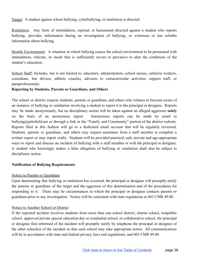Target: A student against whom bullying, cyberbullying, or retaliation is directed.

Retaliation: Any form of intimidation, reprisal, or harassment directed against a student who reports bullying, provides information during an investigation of bullying, or witnesses or has reliable information about bullying.

Hostile Environment: A situation in which bullying causes the school environment to be permeated with intimidation, ridicule, or insult that is sufficiently severe or pervasive to alter the conditions of the student's education.

School Staff: Includes, but is not limited to, educators, administrators, school nurses, cafeteria workers, custodians, bus drivers, athletic coaches, advisors to extracurricular activities, support staff, or paraprofessionals.

#### **Reporting by Students, Parents or Guardians, and Others**

The school or district expects students, parents or guardians, and others who witness or become aware of an instance of bullying or retaliation involving a student to report it to the principal or designee. Reports may be made anonymously, but no disciplinary action will be taken against an alleged aggressor **solely** on the basis of an anonymous report. Anonymous reports can be made by email to bullying@pittsfield.net or through a link in the "Family and Community" portion of the district website. Reports filed in this fashion will go to a dedicated email account that will be regularly reviewed. Students, parents or guardians, and others may request assistance from a staff member to complete a written report or may report orally. Students will be provided practical, safe, private and age-appropriate ways to report and discuss an incident of bullying with a staff member or with the principal or designee. A student who knowingly makes a false allegation of bullying or retaliation shall also be subject to disciplinary action.

#### **Notification of Bullying Requirements**

#### Notice to Parents or Guardians

Upon determining that bullying or retaliation has occurred, the principal or designee will promptly notify the parents or guardians of the target and the aggressor of this determination and of the procedures for responding to it. There may be circumstances in which the principal or designee contacts parents or guardians prior to any investigation. Notice will be consistent with state regulations at 603 CMR 49.00.

#### Notice to Another School or District

If the reported incident involves students from more than one school district, charter school, nonpublic school, approved private special education day or residential school, or collaborative school, the principal or designee first informed of the incident will promptly notify by telephone the principal or designee of the other school(s) of the incident so that each school may take appropriate action. All communications will be in accordance with state and federal privacy laws and regulations, and 603 CMR 49.00.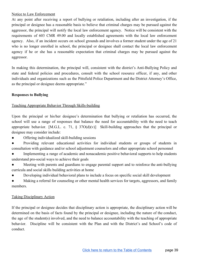#### Notice to Law Enforcement

At any point after receiving a report of bullying or retaliation, including after an investigation, if the principal or designee has a reasonable basis to believe that criminal charges may be pursued against the aggressor, the principal will notify the local law enforcement agency. Notice will be consistent with the requirements of 603 CMR 49.00 and locally established agreements with the local law enforcement agency. Also, if an incident occurs on school grounds and involves a former student under the age of 21 who is no longer enrolled in school, the principal or designee shall contact the local law enforcement agency if he or she has a reasonable expectation that criminal charges may be pursued against the aggressor.

In making this determination, the principal will, consistent with the district's Anti-Bullying Policy and state and federal policies and procedures, consult with the school resource officer, if any, and other individuals and organizations such as the Pittsfield Police Department and the District Attorney's Office, as the principal or designee deems appropriate."

#### **Responses to Bullying**

#### Teaching Appropriate Behavior Through Skills-building

Upon the principal or his/her designee's determination that bullying or retaliation has occurred, the school will use a range of responses that balance the need for accountability with the need to teach appropriate behavior. [M.G.L. c. 71,  $\S$  37O(d)(v)] Skill-building approaches that the principal or designee may consider include:

- Offering individualized skill-building sessions
- Providing relevant educational activities for individual students or groups of students in consultation with guidance and/or school adjustment counselors and other appropriate school personnel
- Implementing a range of academic and nonacademic positive behavioral supports to help students understand pro-social ways to achieve their goals
- Meeting with parents and guardians to engage parental support and to reinforce the anti-bullying curricula and social skills building activities at home
- Developing individual behavioral plans to include a focus on specific social skill development
- Making a referral for counseling or other mental health services for targets, aggressors, and family members.

#### Taking Disciplinary Action

If the principal or designee decides that disciplinary action is appropriate, the disciplinary action will be determined on the basis of facts found by the principal or designee, including the nature of the conduct, the age of the student(s) involved, and the need to balance accountability with the teaching of appropriate behavior. Discipline will be consistent with the Plan and with the District's and School's code of conduct.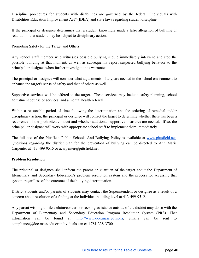Discipline procedures for students with disabilities are governed by the federal "Individuals with Disabilities Education Improvement Act" (IDEA) and state laws regarding student discipline.

If the principal or designee determines that a student knowingly made a false allegation of bullying or retaliation, that student may be subject to disciplinary action.

#### Promoting Safety for the Target and Others

Any school staff member who witnesses possible bullying should immediately intervene and stop the possible bullying at that moment, as well as subsequently report suspected bullying behavior to the principal or designee when further investigation is warranted.

The principal or designee will consider what adjustments, if any, are needed in the school environment to enhance the target's sense of safety and that of others as well.

Supportive services will be offered to the target. These services may include safety planning, school adjustment counselor services, and a mental health referral.

Within a reasonable period of time following the determination and the ordering of remedial and/or disciplinary action, the principal or designee will contact the target to determine whether there has been a recurrence of the prohibited conduct and whether additional supportive measures are needed. If so, the principal or designee will work with appropriate school staff to implement them immediately.

The full text of the Pittsfield Public Schools Anti-Bullying Policy is available at [www.pittsfield.net.](http://www.pittsfield.net/) Questions regarding the district plan for the prevention of bullying can be directed to Ann Marie Carpenter at 413-499-9515 or acarpenter@pittsfield.net.

#### **Problem Resolution**

The principal or designee shall inform the parent or guardian of the target about the Department of Elementary and Secondary Education's problem resolution system and the process for accessing that system, regardless of the outcome of the bullying determination.

District students and/or parents of students may contact the Superintendent or designee as a result of a concern about resolution of a finding at the individual building level at 413-499-9512.

Any parent wishing to file a claim/concern or seeking assistance outside of the district may do so with the Department of Elementary and Secondary Education Program Resolution System (PRS). That information can be found at[:](http://www.doe.mass.edu/pqa) [http://www.doe.mass.edu/pqa,](http://www.doe.mass.edu/pqa) emails can be sent to compliance@doe.mass.edu or individuals can call 781-338-3700.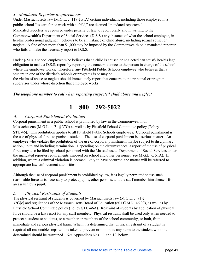# <span id="page-41-0"></span>*3. Mandated Reporter Requirements*

Under Massachusetts law (M.G.L. c. 119 § 51A) certain individuals, including those employed in a public school "to care for or work with a child," are deemed "mandated reporters."

Mandated reporters are required under penalty of law to report orally and in writing to the

Commonwealth's Department of Social Services (D.S.S.) any instance of what the school employee, in her/his professional judgment, believes to be an instance of child abuse, including sexual abuse, or neglect. A fine of not more than \$1,000 may be imposed by the Commonwealth on a mandated reporter who fails to make the necessary report to D.S.S.

Under § 51A a school employee who believes that a child is abused or neglected can satisfy her/his legal obligation to make a D.S.S. report by reporting the concern at once to the person in charge of the school where the employee works. Therefore, any Pittsfield Public Schools employee who believes that a student in one of the district's schools or programs is or may be

the victim of abuse or neglect should immediately report that concern to the principal or program supervisor under whose direction that employee works.

#### *The telephone number to call when reporting suspected child abuse and neglect*

# **1 – 800 – 292-5022**

# <span id="page-41-1"></span>*4. Corporal Punishment Prohibited*

Corporal punishment in a public school is prohibited by law in the Commonwealth of Massachusetts (M.G.L. c. 71 § 37G) as well as by Pittsfield School Committee policy (Policy

STU-46). This prohibition applies to all Pittsfield Public Schools employees. Corporal punishment is the use of physical force to punish a student. The use of corporal punishment is a serious matter. An employee who violates the prohibition of the use of corporal punishment maybe subject to disciplinary action, up to and including termination. Depending on the circumstances, a report of the use of physical force may also be filed by school personnel with the Massachusetts Department of Social Services under the mandated reporter requirements imposed on school and other personnel (see M.G.L. c. 51A). In addition, where a criminal violation is deemed likely to have occurred, the matter will be referred to appropriate law enforcement authorities.

Although the use of corporal punishment is prohibited by law, it is legally permitted to use such reasonable force as is necessary to protect pupils, other persons, and the staff member him-/herself from an assault by a pupil.

# <span id="page-41-2"></span>*5. Physical Restraints of Students*

The physical restraint of students is governed by Massachusetts law (M.G.L. c. 71 § 37G[c] and regulations of the Massachusetts Board of Education (603 C.M.R. 46.00), as well as by Pittsfield School Committee policy (Policy STU-46A). Restraint of students by application of physical force should be a last resort for any staff member. Physical restraint shall be used only when needed to protect a student or students, or a member or members of the school community, or both, from immediate and serious physical harm. When it is determined that physical restraint of a student is required all reasonable steps will be taken to prevent or minimize any harm to the student whom it is determined should be restrained. *See* Appendices Nos. 11 and 12, below.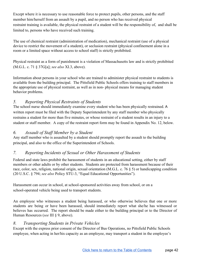Except where it is necessary to use reasonable force to protect pupils, other persons, and the staff member him/herself from an assault by a pupil, and no person who has received physical restraint training is available, the physical restraint of a student will be the responsibility of, and shall be limited to, persons who have received such training.

The use of chemical restraint (administration of medication), mechanical restraint (use of a physical device to restrict the movement of a student), or seclusion restraint (physical confinement alone in a room or a limited space without access to school staff) is strictly prohibited.

Physical restraint as a form of punishment is a violation of Massachusetts law and is strictly prohibited (M.G.L. c. 71 § 37G[a]; *see also* XI.3, above).

Information about persons in your school who are trained to administer physical restraint to students is available from the building principal. The Pittsfield Public Schools offers training to staff members in the appropriate use of physical restraint, as well as in non- physical means for managing student behavior problems.

# <span id="page-42-0"></span>*5. Reporting Physical Restraints of Students*

The school nurse should immediately examine every student who has been physically restrained. A written report must be filed with the Deputy Superintendent by any staff member who physically restrains a student for more than five minutes, or whose restraint of a student results in an injury to a student or staff member. A copy of the restraint report form may be found in Appendix No. 12, below.

# <span id="page-42-1"></span>*6. Assault of Staf Member by a Student*

Any staff member who is assaulted by a student should promptly report the assault to the building principal, and also to the office of the Superintendent of Schools.

# <span id="page-42-2"></span>*7. Reporting Incidents of Sexual or Other Harassment of Students*

Federal and state laws prohibit the harassment of students in an educational setting, either by staff members or other adults or by other students. Students are protected from harassment because of their race, color, sex, religion, national origin, sexual orientation (M.G.L. c. 76 § 5) or handicapping condition (20 U.S.C. § 794; *see also* Policy STU-3, "Equal Educational Opportunities").

Harassment can occur in school, at school-sponsored activities away from school, or on a school-operated vehicle being used to transport students.

An employee who witnesses a student being harassed, or who otherwise believes that one or more students are being or have been harassed, should immediately report what she/he has witnessed or believes has occurred. The report should be made either to the building principal or to the Director of Human Resources (*see* III § 9, above).

# <span id="page-42-3"></span>*8. Transporting Students in Private Vehicles*

Except with the express prior consent of the Director of Bus Operations, no Pittsfield Public Schools employee, when acting in her/his capacity as an employee, may transport a student in the employee's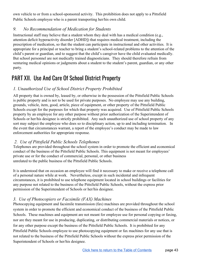own vehicle to or from a school-sponsored activity. This prohibition does not apply to a Pittsfield Public Schools employee who is a parent transporting her/his own child.

# <span id="page-43-0"></span>*9. No Recommendation of Medication for Students*

Instructional staff may believe that a student whom they deal with has a medical condition (e.g., attention deficit hyperactivity disorder [ADHD]) that requires medical treatment, including the prescription of medication, so that the student can participate in instructional and other activities. It is appropriate for a principal or teacher to bring a student's school-related problems to the attention of the child's parent or guardian, and to suggest that the child's caregiver have the child evaluated medically. But school personnel are not medically trained diagnosticians. They should therefore refrain from venturing medical opinions or judgments about a student to the student's parent, guardian, or any other party.

# <span id="page-43-1"></span>PART XII. Use And Care Of School District Property

# <span id="page-43-2"></span>*1. Unauthorized Use of School District Property Prohibited*

All property that is owned by, leased by, or otherwise in the possession of the Pittsfield Public Schools is public property and is not to be used for private purposes. No employee may use any building, grounds, vehicle, item, good, article, piece of equipment, or other property of the Pittsfield Public Schools except for the purposes for which that property was acquired. Use of Pittsfield Public Schools property by an employee for any other purpose without prior authorization of the Superintendent of Schools or her/his designee is strictly prohibited. Any such unauthorized use of school property of any sort may subject the employee who does so to disciplinary action, up to and including termination. In the event that circumstances warrant, a report of the employee's conduct may be made to law enforcement authorities for appropriate response.

# <span id="page-43-3"></span>*2. Use of Pittsfield Public Schools Telephones*

Telephones are provided throughout the school system in order to promote the efficient and economical conduct of the business of the Pittsfield Public Schools. This equipment is not meant for employees' private use or for the conduct of commercial, personal, or other business unrelated to the public business of the Pittsfield Public Schools.

It is understood that on occasion an employee will find it necessary to make or receive a telephone call of a personal nature while at work. Nevertheless, except in such incidental and infrequent circumstances, it is prohibited to use telephone equipment located in school buildings or facilities for any purpose not related to the business of the Pittsfield Public Schools, without the express prior permission of the Superintendent of Schools or her/his designee.

# <span id="page-43-4"></span>*3. Use of Photocopiers or Facsimile (FAX) Machines*

Photocopying equipment and facsimile transmission (fax) machines are provided throughout the school system in order to promote the efficient and economical conduct of the business of the Pittsfield Public Schools. These machines and equipment are not meant for employee use for personal copying or faxing, nor are they meant for use in producing, duplicating, or distributing commercial materials or notices, or for any other purpose except the business of the Pittsfield Public Schools. It is prohibited for any Pittsfield Public Schools employee to use photocopying equipment or fax machines for any use that is not related to the business of the Pittsfield Public Schools without the express prior permission of the Superintendent of Schools or her/his designee.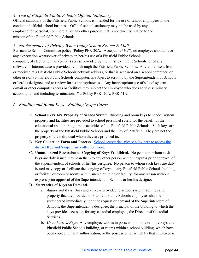# <span id="page-44-0"></span>*4. Use of Pittsfield Public Schools Of icial Stationery*

Official stationary of the Pittsfield Public Schools is intended for the use of school employees in the conduct of official school business. Official school stationery may not be used by any employee for personal, commercial, or any other purpose that is not directly related to the mission of the Pittsfield Public Schools.

## <span id="page-44-1"></span>*5. No Assurance of Privacy When Using School System E-Mail*

Pursuant to School Committee policy (Policy PER-20A, "Acceptable Use"), no employee should have any expectation whatsoever of privacy in her/his use of a Pittsfield Public Schools computer, of electronic mail (e-mail) access provided by the Pittsfield Public Schools, or of any software or Internet access provided by or through the Pittsfield Public Schools. Any e-mail sent from or received at a Pittsfield Public Schools network address, or that is accessed on a school computer, or other use of a Pittsfield Public Schools computer, is subject to scrutiny by the Superintendent of Schools or her/his designee, and to review for its appropriateness. Any inappropriate use of school system e-mail or other computer access or facilities may subject the employee who does so to disciplinary action, up to and including termination. *See* Policy PER- 20A, PER-61A.

# <span id="page-44-2"></span>*6. Building and Room Keys - Building Swipe Cards*

- A. **School Keys Are Property of School System**. Building and room keys to school system property and facilities are provided to school personnel solely for the benefit of the educational and other legitimate activities of the Pittsfield Public Schools. Such keys are the property of the Pittsfield Public Schools and the City of Pittsfield. They are not the property of the individual whom they are provided to.
- B. **Key Collection Form and Process** [School secretaries, please click here to access the](https://docs.google.com/a/pittsfield.net/document/d/1EQSvkPim4Sfccqw_KbAZacAl8Em-pQVamZ5lrARzQOA/edit?usp=sharing) [district Key and Swipe Card collection form.](https://docs.google.com/a/pittsfield.net/document/d/1EQSvkPim4Sfccqw_KbAZacAl8Em-pQVamZ5lrARzQOA/edit?usp=sharing)
- C. **Unauthorized Possession or Copying of Keys Prohibited.** No person to whom such keys are duly issued may loan them to any other person without express prior approval of the superintendent of schools or her/his designee. No person to whom such keys are duly issued may copy or facilitate the copying of keys to any Pittsfield Public Schools building or facility, or room or rooms within such a building or facility, for any reason without express prior approval of the Superintendent of Schools or her/his designee.

#### D. **Surrender of Keys on Demand.**

- a. *Authorized Keys*. Any and all keys provided to school system facilities and property that are provided to Pittsfield Public Schools employees shall be surrendered immediately upon the request or demand of the Superintendent of Schools, the Superintendent's designee, the principal of the building to which the keys provide access, or, for any custodial employee, the Director of Custodial Services.
- b. *Unauthorized Keys*. Any employee who is in possession of one or more keys to a Pittsfield Public Schools building, or rooms within a school building, which have been copied without authorization, or the possession of which by that employee is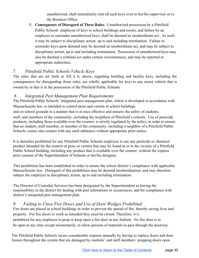unauthorized, shall immediately turn all such keys over to her/his supervisor or to the Business Office

E. **Consequence of Disregard of These Rules.** Unauthorized possession by a Pittsfield Public Schools employee of keys to school buildings and rooms, and failure by an employee to surrender unauthorized keys, shall be deemed an insubordinate act. As such, it may be subject to disciplinary action, up to and including termination. Failure to surrender keys upon demand may be deemed an insubordinate act, and may be subject to disciplinary action, up to and including termination. Possession of unauthorized keys may also be deemed a criminal act under certain circumstances, and may be reported to appropriate authorities.

# <span id="page-45-0"></span>*7. Pittsfield Public Schools Vehicle Keys*

The rules that are set forth in XII  $\S$  6, above, regarding building and facility keys, including the consequences for disregarding those rules, are wholly applicable for keys to any motor vehicle that is owned by or that is in the possession of the Pittsfield Public Schools.

# <span id="page-45-1"></span>*8. Integrated Pest Management Plan Requirements*

The Pittsfield Public Schools' integrated pest management plan, which is developed in accordance with Massachusetts law, is intended to control pests and vermin in school buildings

and on school grounds in a manner that is at once effective and ensures the safety of students,

staff, and members of the community, including the neighbors of Pittsfield's schools. Use of pesticide products, including those available over the counter, is strictly regulated by the policy in order to ensure that no student, staff member, or member of the community, including a neighbor of a Pittsfield Public Schools, comes into contact with any such substance without appropriate prior notice.

It is therefore prohibited for any Pittsfield Public Schools employee to use any pesticide or chemical product intended for the control of pests or vermin that may be found in or in the vicinity of a Pittsfield Public School building, including any product that is available over the counter, without the express prior consent of the Superintendent of Schools or her/his designee.

This prohibition has been established in order to ensure the school district's compliance with applicable Massachusetts law. Disregard of this prohibition may be deemed insubordination, and may therefore subject the employee to disciplinary action, up to and including termination.

The Director of Custodial Services has been designated by the Superintendent as having the responsibility in the district for dealing with pest infestations or occurrences, and for compliance with district's integrated pest management plan.

# <span id="page-45-2"></span>*9. Failing to Close Fire Doors and Use of Door Wedges Prohibited*

Fire doors are placed in school buildings in order to prevent the spread of fire, thereby saving lives and property. For fire doors to work as intended they must be closed. Therefore, it is prohibited for any employee to prop or keep open a fire door in any fashion. No fire door is to be open at any time except momentarily, to allow persons of materials to pass through the doorway.

The Pittsfield Public Schools incurs considerable expense annually by having to replace doors and door frames throughout the system that are damaged by students' and staff members' propping doors open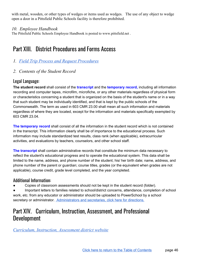with metal, wooden, or other types of wedges or items used as wedges. The use of any object to wedge open a door in a Pittsfield Public Schools facility is therefore prohibited.

# <span id="page-46-0"></span>*10. Employee Handbook*

The Pittsfield Public Schools Employee Handbook is posted to www.pittsfield.net .

# <span id="page-46-1"></span>Part XIII. District Procedures and Forms Access

- <span id="page-46-2"></span>*1. Field Trip Process and Request [Procedures](https://docs.google.com/a/pittsfield.net/document/d/1FcKhCZM-TJRmCvKNMFPQ-KP9BDjMI4jM-hZen1_tH7w/edit?usp=sharing)*
- <span id="page-46-3"></span>*2. Contents of the Student Record*

# Legal Language:

**The student record** shall consist of the **transcript** and the **temporary record,** including all information recording and computer tapes, microfilm, microfiche, or any other materials regardless of physical form or characteristics concerning a student that is organized on the basis of the student's name or in a way that such student may be individually identified, and that is kept by the public schools of the Commonwealth. The term as used in 603 CMR 23.00 shall mean all such information and materials regardless of where they are located, except for the information and materials specifically exempted by 603 CMR 23.04.

**The temporary record** shall consist of all the information in the student record which is not contained in the transcript. This information clearly shall be of importance to the educational process. Such information may include standardized test results, class rank (when applicable), extracurricular activities, and evaluations by teachers, counselors, and other school staff.

**The transcript** shall contain administrative records that constitute the minimum data necessary to reflect the student's educational progress and to operate the educational system. This data shall be limited to the name, address, and phone number of the student; his/ her birth date; name, address, and phone number of the parent or guardian; course titles, grades (or the equivalent when grades are not applicable), course credit, grade level completed, and the year completed.

# Additional Information:

Copies of classroom assessments should not be kept in the student record (folder).

Important letters to families related to school/district concerns, attendance, completion of school work, etc. from any educator or administrator should be uploaded to PowerSchool by a school secretary or administrator. [Administrators](https://docs.google.com/a/pittsfield.net/document/d/1Nu0vkHf7SsAMf8gV8exbEwplGgQhvrtUeJfQxNA7iw4/edit?usp=sharing) and secretaries, click here for directions.

# <span id="page-46-4"></span>Part XIV. Curriculum, Instruction, Assessment, and Professional Development

<span id="page-46-5"></span>*[Curriculum,](https://docs.google.com/document/d/1ZzJYKyc5oYGFL-uXTqWvnwOrSSVJzhabkukKBzhalmI/edit?ts=59839b1f) Instruction, Assessment district website*